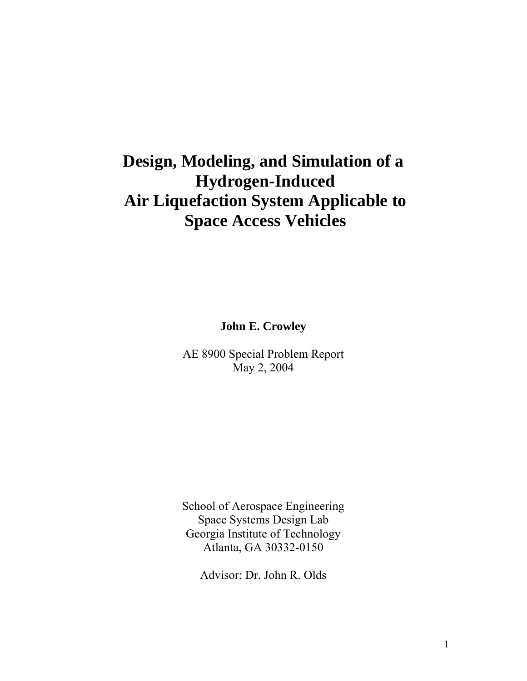# **Design, Modeling, and Simulation of a Hydrogen-Induced Air Liquefaction System Applicable to Space Access Vehicles**

**John E. Crowley** 

AE 8900 Special Problem Report May 2, 2004

School of Aerospace Engineering Space Systems Design Lab Georgia Institute of Technology Atlanta, GA 30332-0150

Advisor: Dr. John R. Olds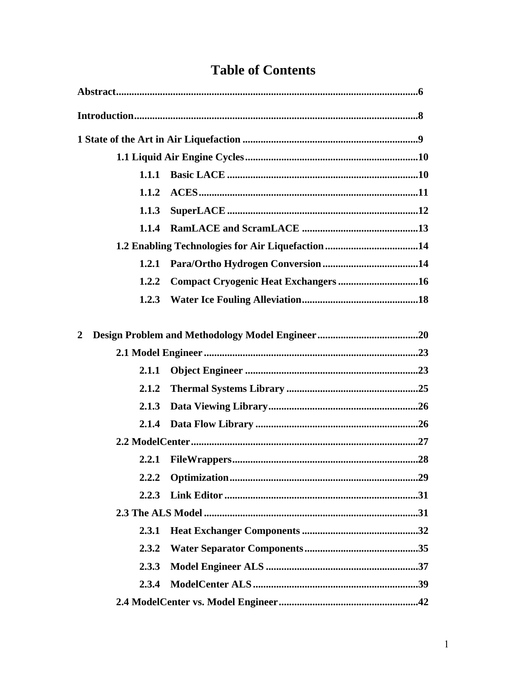| 1.1.1                |                                                  |  |
|----------------------|--------------------------------------------------|--|
| 1.1.2                |                                                  |  |
| 1.1.3                |                                                  |  |
| 1.1.4                |                                                  |  |
|                      | 1.2 Enabling Technologies for Air Liquefaction14 |  |
| 1.2.1                |                                                  |  |
| 1.2.2                | Compact Cryogenic Heat Exchangers16              |  |
| 1.2.3                |                                                  |  |
|                      |                                                  |  |
| $\mathbf 2$<br>2.1.1 |                                                  |  |
|                      |                                                  |  |
|                      |                                                  |  |
| 2.1.2                |                                                  |  |
| 2.1.3                |                                                  |  |
| 2.1.4                |                                                  |  |
|                      |                                                  |  |
|                      |                                                  |  |
| 2.2.2                |                                                  |  |
| 2.2.3                |                                                  |  |
|                      |                                                  |  |
| 2.3.1                |                                                  |  |
| 2.3.2                |                                                  |  |
| 2.3.3                |                                                  |  |
| 2.3.4                |                                                  |  |
|                      |                                                  |  |

## **Table of Contents**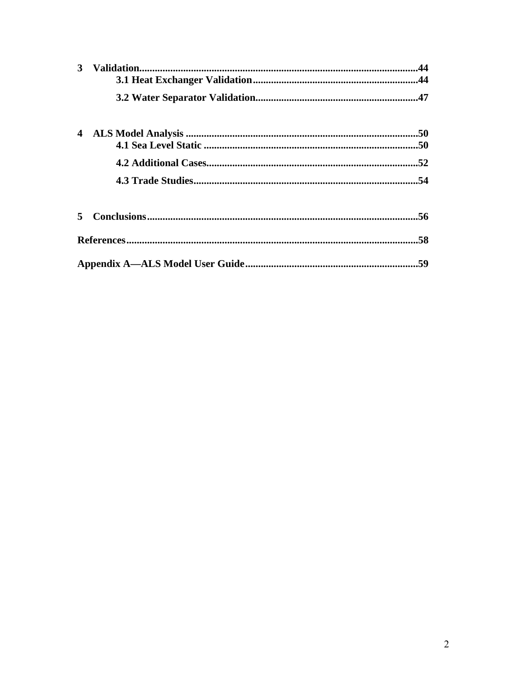| 3  | .44 |
|----|-----|
|    |     |
| 4  |     |
|    |     |
|    |     |
|    |     |
| 5. |     |
|    |     |
|    |     |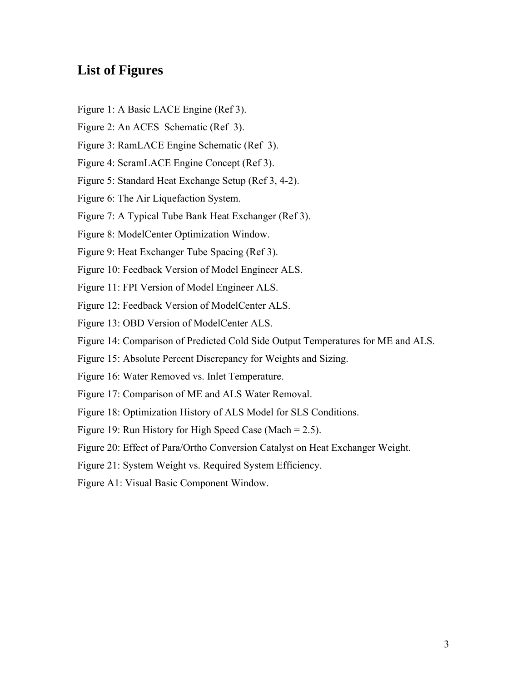## **List of Figures**

- Figure 1: A Basic LACE Engine (Ref 3).
- Figure 2: An ACES Schematic (Ref 3).
- Figure 3: RamLACE Engine Schematic (Ref 3).
- Figure 4: ScramLACE Engine Concept (Ref 3).
- Figure 5: Standard Heat Exchange Setup (Ref 3, 4-2).
- Figure 6: The Air Liquefaction System.
- Figure 7: A Typical Tube Bank Heat Exchanger (Ref 3).
- Figure 8: ModelCenter Optimization Window.
- Figure 9: Heat Exchanger Tube Spacing (Ref 3).
- Figure 10: Feedback Version of Model Engineer ALS.
- Figure 11: FPI Version of Model Engineer ALS.
- Figure 12: Feedback Version of ModelCenter ALS.
- Figure 13: OBD Version of ModelCenter ALS.
- Figure 14: Comparison of Predicted Cold Side Output Temperatures for ME and ALS.
- Figure 15: Absolute Percent Discrepancy for Weights and Sizing.
- Figure 16: Water Removed vs. Inlet Temperature.
- Figure 17: Comparison of ME and ALS Water Removal.
- Figure 18: Optimization History of ALS Model for SLS Conditions.
- Figure 19: Run History for High Speed Case (Mach = 2.5).
- Figure 20: Effect of Para/Ortho Conversion Catalyst on Heat Exchanger Weight.
- Figure 21: System Weight vs. Required System Efficiency.
- Figure A1: Visual Basic Component Window.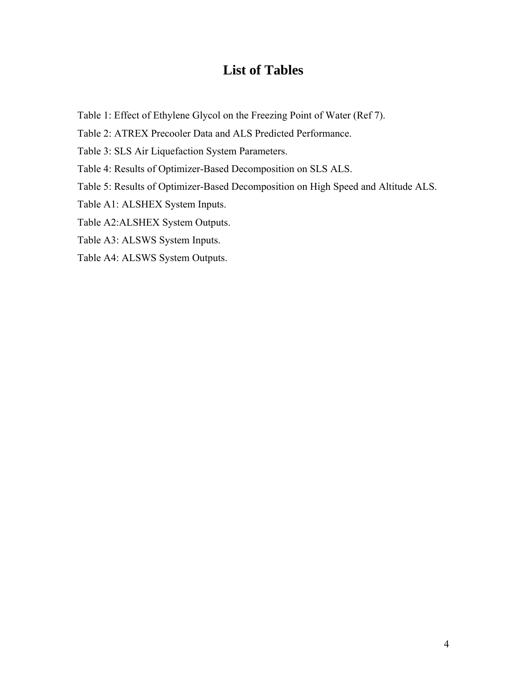## **List of Tables**

- Table 1: Effect of Ethylene Glycol on the Freezing Point of Water (Ref 7).
- Table 2: ATREX Precooler Data and ALS Predicted Performance.
- Table 3: SLS Air Liquefaction System Parameters.
- Table 4: Results of Optimizer-Based Decomposition on SLS ALS.
- Table 5: Results of Optimizer-Based Decomposition on High Speed and Altitude ALS.
- Table A1: ALSHEX System Inputs.
- Table A2:ALSHEX System Outputs.
- Table A3: ALSWS System Inputs.
- Table A4: ALSWS System Outputs.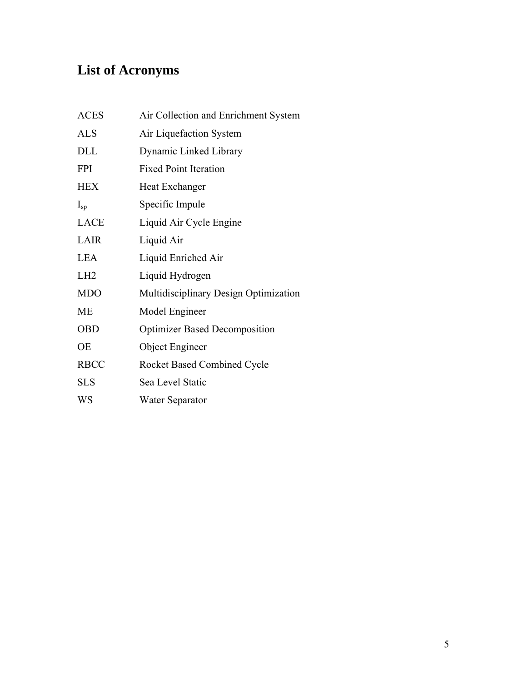# **List of Acronyms**

| <b>ACES</b>     | Air Collection and Enrichment System  |
|-----------------|---------------------------------------|
| <b>ALS</b>      | Air Liquefaction System               |
| <b>DLL</b>      | Dynamic Linked Library                |
| <b>FPI</b>      | <b>Fixed Point Iteration</b>          |
| <b>HEX</b>      | Heat Exchanger                        |
| $I_{sp}$        | Specific Impule                       |
| <b>LACE</b>     | Liquid Air Cycle Engine               |
| LAIR            | Liquid Air                            |
| <b>LEA</b>      | Liquid Enriched Air                   |
| LH <sub>2</sub> | Liquid Hydrogen                       |
| <b>MDO</b>      | Multidisciplinary Design Optimization |
| <b>ME</b>       | Model Engineer                        |
| <b>OBD</b>      | <b>Optimizer Based Decomposition</b>  |
| <b>OE</b>       | Object Engineer                       |
| <b>RBCC</b>     | <b>Rocket Based Combined Cycle</b>    |
| <b>SLS</b>      | Sea Level Static                      |
| WS              | Water Separator                       |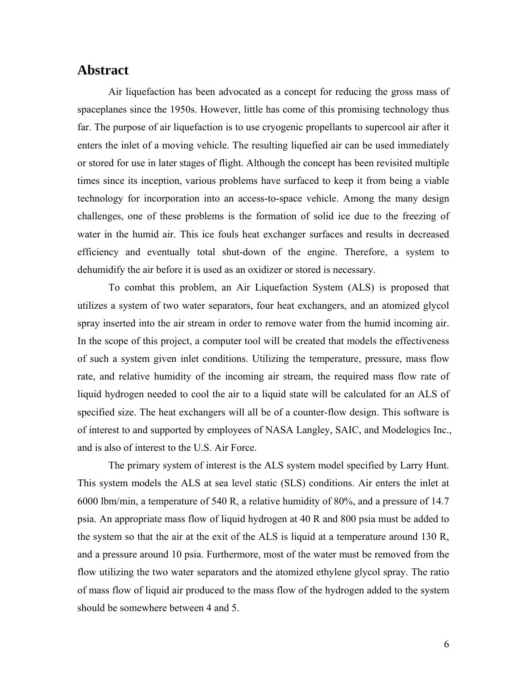### **Abstract**

Air liquefaction has been advocated as a concept for reducing the gross mass of spaceplanes since the 1950s. However, little has come of this promising technology thus far. The purpose of air liquefaction is to use cryogenic propellants to supercool air after it enters the inlet of a moving vehicle. The resulting liquefied air can be used immediately or stored for use in later stages of flight. Although the concept has been revisited multiple times since its inception, various problems have surfaced to keep it from being a viable technology for incorporation into an access-to-space vehicle. Among the many design challenges, one of these problems is the formation of solid ice due to the freezing of water in the humid air. This ice fouls heat exchanger surfaces and results in decreased efficiency and eventually total shut-down of the engine. Therefore, a system to dehumidify the air before it is used as an oxidizer or stored is necessary.

To combat this problem, an Air Liquefaction System (ALS) is proposed that utilizes a system of two water separators, four heat exchangers, and an atomized glycol spray inserted into the air stream in order to remove water from the humid incoming air. In the scope of this project, a computer tool will be created that models the effectiveness of such a system given inlet conditions. Utilizing the temperature, pressure, mass flow rate, and relative humidity of the incoming air stream, the required mass flow rate of liquid hydrogen needed to cool the air to a liquid state will be calculated for an ALS of specified size. The heat exchangers will all be of a counter-flow design. This software is of interest to and supported by employees of NASA Langley, SAIC, and Modelogics Inc., and is also of interest to the U.S. Air Force.

The primary system of interest is the ALS system model specified by Larry Hunt. This system models the ALS at sea level static (SLS) conditions. Air enters the inlet at 6000 lbm/min, a temperature of 540 R, a relative humidity of 80%, and a pressure of 14.7 psia. An appropriate mass flow of liquid hydrogen at 40 R and 800 psia must be added to the system so that the air at the exit of the ALS is liquid at a temperature around 130 R, and a pressure around 10 psia. Furthermore, most of the water must be removed from the flow utilizing the two water separators and the atomized ethylene glycol spray. The ratio of mass flow of liquid air produced to the mass flow of the hydrogen added to the system should be somewhere between 4 and 5.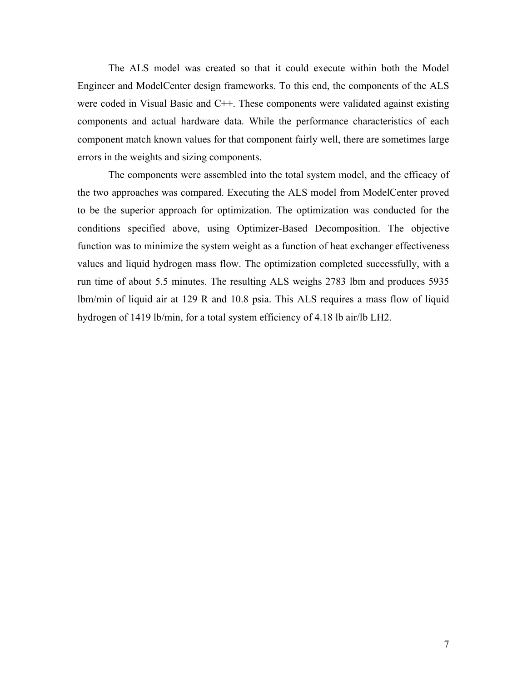The ALS model was created so that it could execute within both the Model Engineer and ModelCenter design frameworks. To this end, the components of the ALS were coded in Visual Basic and C++. These components were validated against existing components and actual hardware data. While the performance characteristics of each component match known values for that component fairly well, there are sometimes large errors in the weights and sizing components.

The components were assembled into the total system model, and the efficacy of the two approaches was compared. Executing the ALS model from ModelCenter proved to be the superior approach for optimization. The optimization was conducted for the conditions specified above, using Optimizer-Based Decomposition. The objective function was to minimize the system weight as a function of heat exchanger effectiveness values and liquid hydrogen mass flow. The optimization completed successfully, with a run time of about 5.5 minutes. The resulting ALS weighs 2783 lbm and produces 5935 lbm/min of liquid air at 129 R and 10.8 psia. This ALS requires a mass flow of liquid hydrogen of 1419 lb/min, for a total system efficiency of 4.18 lb air/lb LH2.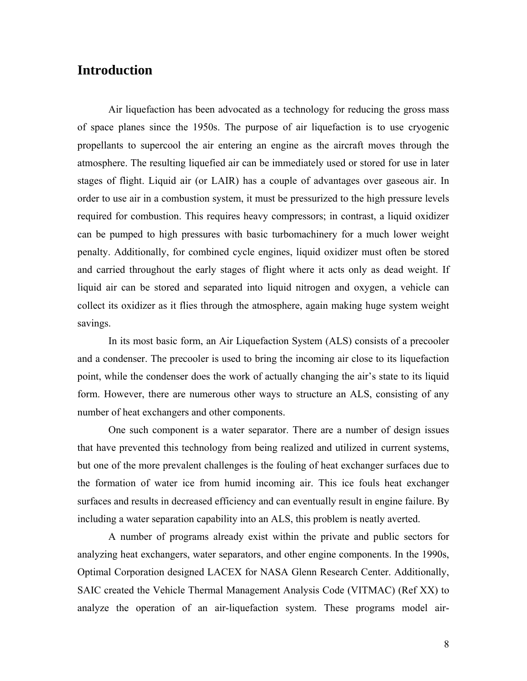### **Introduction**

Air liquefaction has been advocated as a technology for reducing the gross mass of space planes since the 1950s. The purpose of air liquefaction is to use cryogenic propellants to supercool the air entering an engine as the aircraft moves through the atmosphere. The resulting liquefied air can be immediately used or stored for use in later stages of flight. Liquid air (or LAIR) has a couple of advantages over gaseous air. In order to use air in a combustion system, it must be pressurized to the high pressure levels required for combustion. This requires heavy compressors; in contrast, a liquid oxidizer can be pumped to high pressures with basic turbomachinery for a much lower weight penalty. Additionally, for combined cycle engines, liquid oxidizer must often be stored and carried throughout the early stages of flight where it acts only as dead weight. If liquid air can be stored and separated into liquid nitrogen and oxygen, a vehicle can collect its oxidizer as it flies through the atmosphere, again making huge system weight savings.

In its most basic form, an Air Liquefaction System (ALS) consists of a precooler and a condenser. The precooler is used to bring the incoming air close to its liquefaction point, while the condenser does the work of actually changing the air's state to its liquid form. However, there are numerous other ways to structure an ALS, consisting of any number of heat exchangers and other components.

One such component is a water separator. There are a number of design issues that have prevented this technology from being realized and utilized in current systems, but one of the more prevalent challenges is the fouling of heat exchanger surfaces due to the formation of water ice from humid incoming air. This ice fouls heat exchanger surfaces and results in decreased efficiency and can eventually result in engine failure. By including a water separation capability into an ALS, this problem is neatly averted.

A number of programs already exist within the private and public sectors for analyzing heat exchangers, water separators, and other engine components. In the 1990s, Optimal Corporation designed LACEX for NASA Glenn Research Center. Additionally, SAIC created the Vehicle Thermal Management Analysis Code (VITMAC) (Ref XX) to analyze the operation of an air-liquefaction system. These programs model air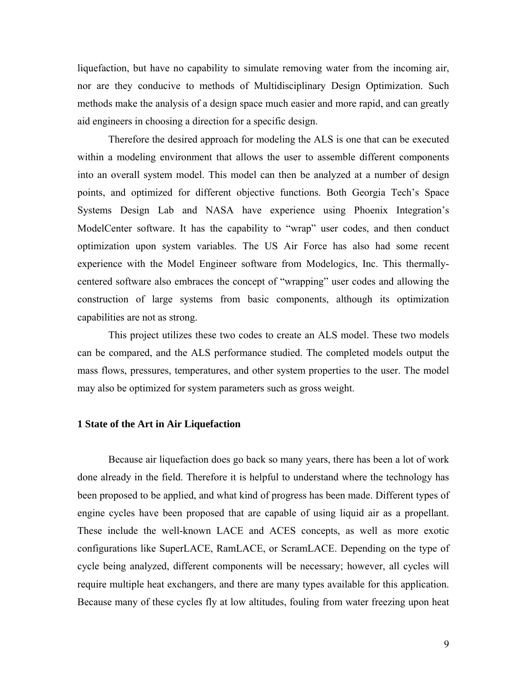liquefaction, but have no capability to simulate removing water from the incoming air, nor are they conducive to methods of Multidisciplinary Design Optimization. Such methods make the analysis of a design space much easier and more rapid, and can greatly aid engineers in choosing a direction for a specific design.

Therefore the desired approach for modeling the ALS is one that can be executed within a modeling environment that allows the user to assemble different components into an overall system model. This model can then be analyzed at a number of design points, and optimized for different objective functions. Both Georgia Tech's Space Systems Design Lab and NASA have experience using Phoenix Integration's ModelCenter software. It has the capability to "wrap" user codes, and then conduct optimization upon system variables. The US Air Force has also had some recent experience with the Model Engineer software from Modelogics, Inc. This thermallycentered software also embraces the concept of "wrapping" user codes and allowing the construction of large systems from basic components, although its optimization capabilities are not as strong.

This project utilizes these two codes to create an ALS model. These two models can be compared, and the ALS performance studied. The completed models output the mass flows, pressures, temperatures, and other system properties to the user. The model may also be optimized for system parameters such as gross weight.

#### **1 State of the Art in Air Liquefaction**

Because air liquefaction does go back so many years, there has been a lot of work done already in the field. Therefore it is helpful to understand where the technology has been proposed to be applied, and what kind of progress has been made. Different types of engine cycles have been proposed that are capable of using liquid air as a propellant. These include the well-known LACE and ACES concepts, as well as more exotic configurations like SuperLACE, RamLACE, or ScramLACE. Depending on the type of cycle being analyzed, different components will be necessary; however, all cycles will require multiple heat exchangers, and there are many types available for this application. Because many of these cycles fly at low altitudes, fouling from water freezing upon heat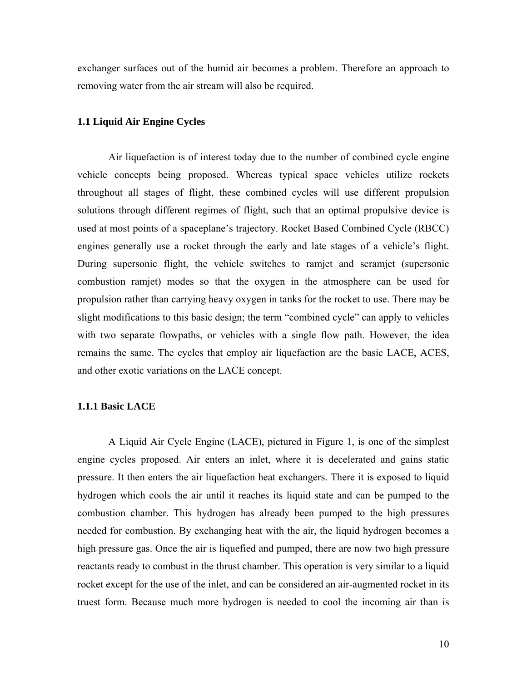exchanger surfaces out of the humid air becomes a problem. Therefore an approach to removing water from the air stream will also be required.

#### **1.1 Liquid Air Engine Cycles**

Air liquefaction is of interest today due to the number of combined cycle engine vehicle concepts being proposed. Whereas typical space vehicles utilize rockets throughout all stages of flight, these combined cycles will use different propulsion solutions through different regimes of flight, such that an optimal propulsive device is used at most points of a spaceplane's trajectory. Rocket Based Combined Cycle (RBCC) engines generally use a rocket through the early and late stages of a vehicle's flight. During supersonic flight, the vehicle switches to ramjet and scramjet (supersonic combustion ramjet) modes so that the oxygen in the atmosphere can be used for propulsion rather than carrying heavy oxygen in tanks for the rocket to use. There may be slight modifications to this basic design; the term "combined cycle" can apply to vehicles with two separate flowpaths, or vehicles with a single flow path. However, the idea remains the same. The cycles that employ air liquefaction are the basic LACE, ACES, and other exotic variations on the LACE concept.

#### **1.1.1 Basic LACE**

A Liquid Air Cycle Engine (LACE), pictured in Figure 1, is one of the simplest engine cycles proposed. Air enters an inlet, where it is decelerated and gains static pressure. It then enters the air liquefaction heat exchangers. There it is exposed to liquid hydrogen which cools the air until it reaches its liquid state and can be pumped to the combustion chamber. This hydrogen has already been pumped to the high pressures needed for combustion. By exchanging heat with the air, the liquid hydrogen becomes a high pressure gas. Once the air is liquefied and pumped, there are now two high pressure reactants ready to combust in the thrust chamber. This operation is very similar to a liquid rocket except for the use of the inlet, and can be considered an air-augmented rocket in its truest form. Because much more hydrogen is needed to cool the incoming air than is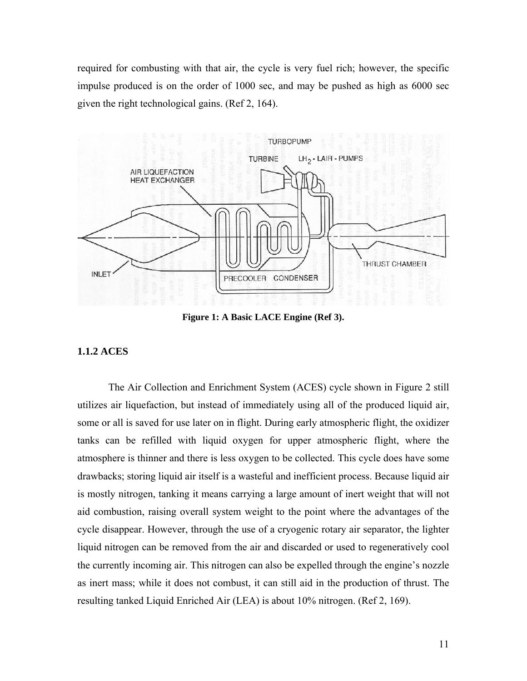required for combusting with that air, the cycle is very fuel rich; however, the specific impulse produced is on the order of 1000 sec, and may be pushed as high as 6000 sec given the right technological gains. (Ref 2, 164).



**Figure 1: A Basic LACE Engine (Ref 3).** 

#### **1.1.2 ACES**

The Air Collection and Enrichment System (ACES) cycle shown in Figure 2 still utilizes air liquefaction, but instead of immediately using all of the produced liquid air, some or all is saved for use later on in flight. During early atmospheric flight, the oxidizer tanks can be refilled with liquid oxygen for upper atmospheric flight, where the atmosphere is thinner and there is less oxygen to be collected. This cycle does have some drawbacks; storing liquid air itself is a wasteful and inefficient process. Because liquid air is mostly nitrogen, tanking it means carrying a large amount of inert weight that will not aid combustion, raising overall system weight to the point where the advantages of the cycle disappear. However, through the use of a cryogenic rotary air separator, the lighter liquid nitrogen can be removed from the air and discarded or used to regeneratively cool the currently incoming air. This nitrogen can also be expelled through the engine's nozzle as inert mass; while it does not combust, it can still aid in the production of thrust. The resulting tanked Liquid Enriched Air (LEA) is about 10% nitrogen. (Ref 2, 169).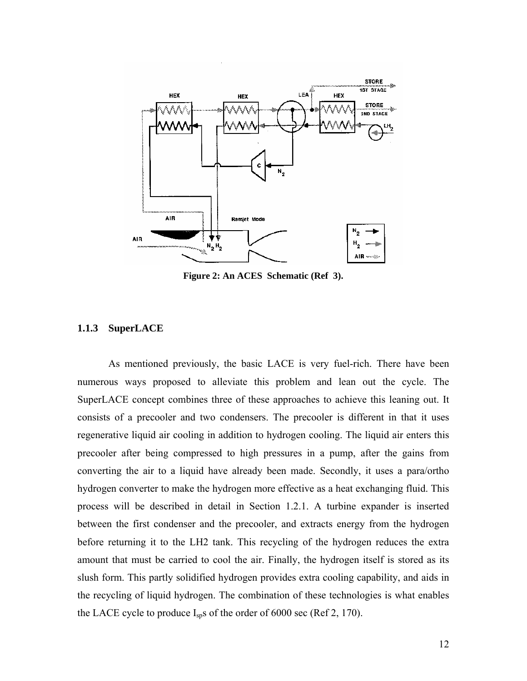

**Figure 2: An ACES Schematic (Ref 3).** 

#### **1.1.3 SuperLACE**

As mentioned previously, the basic LACE is very fuel-rich. There have been numerous ways proposed to alleviate this problem and lean out the cycle. The SuperLACE concept combines three of these approaches to achieve this leaning out. It consists of a precooler and two condensers. The precooler is different in that it uses regenerative liquid air cooling in addition to hydrogen cooling. The liquid air enters this precooler after being compressed to high pressures in a pump, after the gains from converting the air to a liquid have already been made. Secondly, it uses a para/ortho hydrogen converter to make the hydrogen more effective as a heat exchanging fluid. This process will be described in detail in Section 1.2.1. A turbine expander is inserted between the first condenser and the precooler, and extracts energy from the hydrogen before returning it to the LH2 tank. This recycling of the hydrogen reduces the extra amount that must be carried to cool the air. Finally, the hydrogen itself is stored as its slush form. This partly solidified hydrogen provides extra cooling capability, and aids in the recycling of liquid hydrogen. The combination of these technologies is what enables the LACE cycle to produce  $I_{sp}$ s of the order of 6000 sec (Ref 2, 170).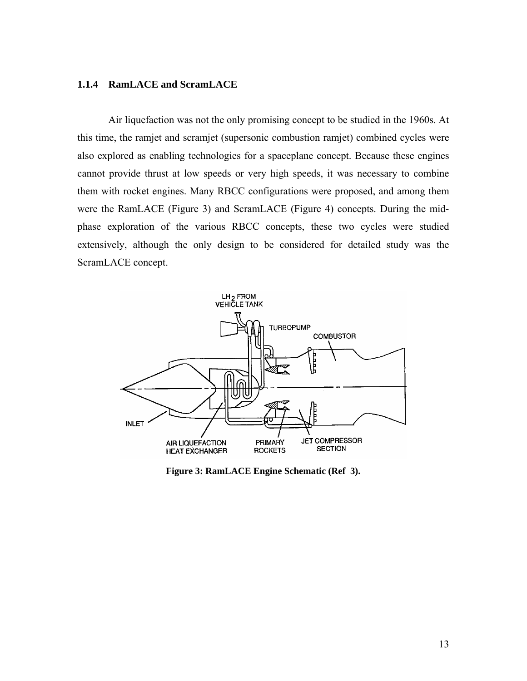#### **1.1.4 RamLACE and ScramLACE**

Air liquefaction was not the only promising concept to be studied in the 1960s. At this time, the ramjet and scramjet (supersonic combustion ramjet) combined cycles were also explored as enabling technologies for a spaceplane concept. Because these engines cannot provide thrust at low speeds or very high speeds, it was necessary to combine them with rocket engines. Many RBCC configurations were proposed, and among them were the RamLACE (Figure 3) and ScramLACE (Figure 4) concepts. During the midphase exploration of the various RBCC concepts, these two cycles were studied extensively, although the only design to be considered for detailed study was the ScramLACE concept.



**Figure 3: RamLACE Engine Schematic (Ref 3).**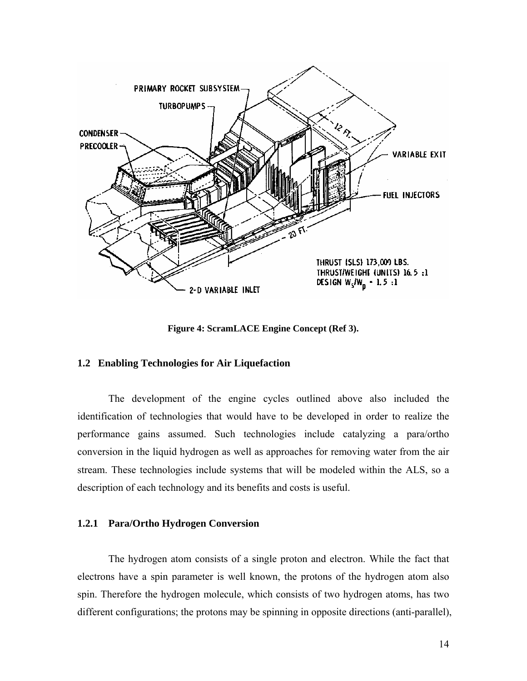

**Figure 4: ScramLACE Engine Concept (Ref 3).** 

#### **1.2 Enabling Technologies for Air Liquefaction**

The development of the engine cycles outlined above also included the identification of technologies that would have to be developed in order to realize the performance gains assumed. Such technologies include catalyzing a para/ortho conversion in the liquid hydrogen as well as approaches for removing water from the air stream. These technologies include systems that will be modeled within the ALS, so a description of each technology and its benefits and costs is useful.

#### **1.2.1 Para/Ortho Hydrogen Conversion**

The hydrogen atom consists of a single proton and electron. While the fact that electrons have a spin parameter is well known, the protons of the hydrogen atom also spin. Therefore the hydrogen molecule, which consists of two hydrogen atoms, has two different configurations; the protons may be spinning in opposite directions (anti-parallel),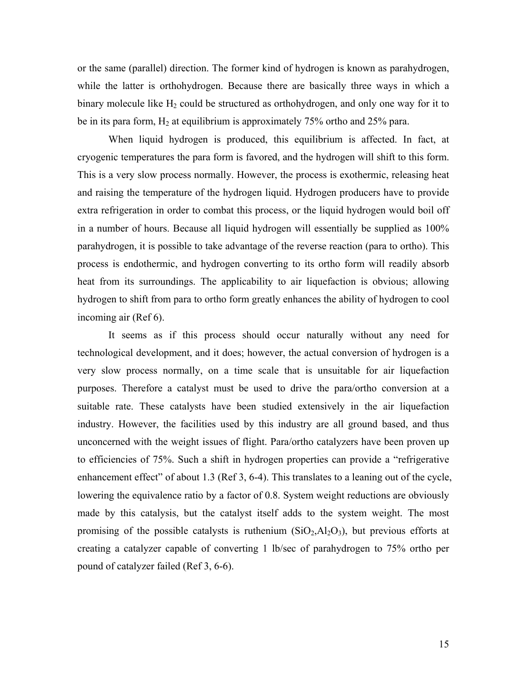or the same (parallel) direction. The former kind of hydrogen is known as parahydrogen, while the latter is orthohydrogen. Because there are basically three ways in which a binary molecule like  $H_2$  could be structured as orthohydrogen, and only one way for it to be in its para form,  $H_2$  at equilibrium is approximately 75% ortho and 25% para.

When liquid hydrogen is produced, this equilibrium is affected. In fact, at cryogenic temperatures the para form is favored, and the hydrogen will shift to this form. This is a very slow process normally. However, the process is exothermic, releasing heat and raising the temperature of the hydrogen liquid. Hydrogen producers have to provide extra refrigeration in order to combat this process, or the liquid hydrogen would boil off in a number of hours. Because all liquid hydrogen will essentially be supplied as 100% parahydrogen, it is possible to take advantage of the reverse reaction (para to ortho). This process is endothermic, and hydrogen converting to its ortho form will readily absorb heat from its surroundings. The applicability to air liquefaction is obvious; allowing hydrogen to shift from para to ortho form greatly enhances the ability of hydrogen to cool incoming air (Ref 6).

It seems as if this process should occur naturally without any need for technological development, and it does; however, the actual conversion of hydrogen is a very slow process normally, on a time scale that is unsuitable for air liquefaction purposes. Therefore a catalyst must be used to drive the para/ortho conversion at a suitable rate. These catalysts have been studied extensively in the air liquefaction industry. However, the facilities used by this industry are all ground based, and thus unconcerned with the weight issues of flight. Para/ortho catalyzers have been proven up to efficiencies of 75%. Such a shift in hydrogen properties can provide a "refrigerative enhancement effect" of about 1.3 (Ref 3, 6-4). This translates to a leaning out of the cycle, lowering the equivalence ratio by a factor of 0.8. System weight reductions are obviously made by this catalysis, but the catalyst itself adds to the system weight. The most promising of the possible catalysts is ruthenium  $(SiO<sub>2</sub>, A<sub>2</sub>O<sub>3</sub>)$ , but previous efforts at creating a catalyzer capable of converting 1 lb/sec of parahydrogen to 75% ortho per pound of catalyzer failed (Ref 3, 6-6).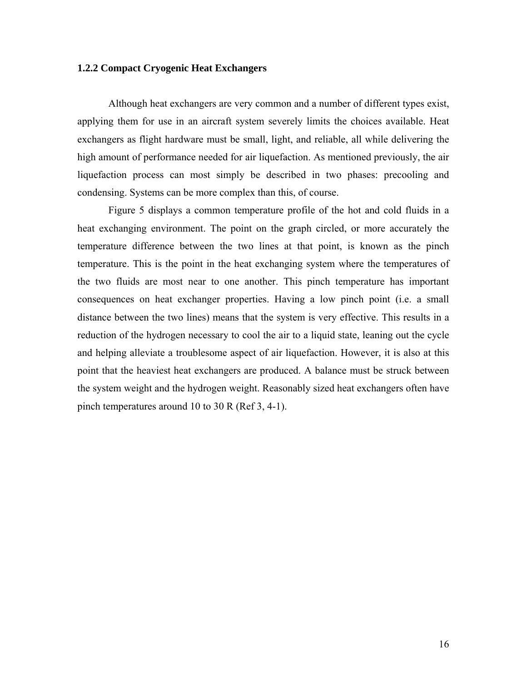#### **1.2.2 Compact Cryogenic Heat Exchangers**

Although heat exchangers are very common and a number of different types exist, applying them for use in an aircraft system severely limits the choices available. Heat exchangers as flight hardware must be small, light, and reliable, all while delivering the high amount of performance needed for air liquefaction. As mentioned previously, the air liquefaction process can most simply be described in two phases: precooling and condensing. Systems can be more complex than this, of course.

Figure 5 displays a common temperature profile of the hot and cold fluids in a heat exchanging environment. The point on the graph circled, or more accurately the temperature difference between the two lines at that point, is known as the pinch temperature. This is the point in the heat exchanging system where the temperatures of the two fluids are most near to one another. This pinch temperature has important consequences on heat exchanger properties. Having a low pinch point (i.e. a small distance between the two lines) means that the system is very effective. This results in a reduction of the hydrogen necessary to cool the air to a liquid state, leaning out the cycle and helping alleviate a troublesome aspect of air liquefaction. However, it is also at this point that the heaviest heat exchangers are produced. A balance must be struck between the system weight and the hydrogen weight. Reasonably sized heat exchangers often have pinch temperatures around 10 to 30 R (Ref 3, 4-1).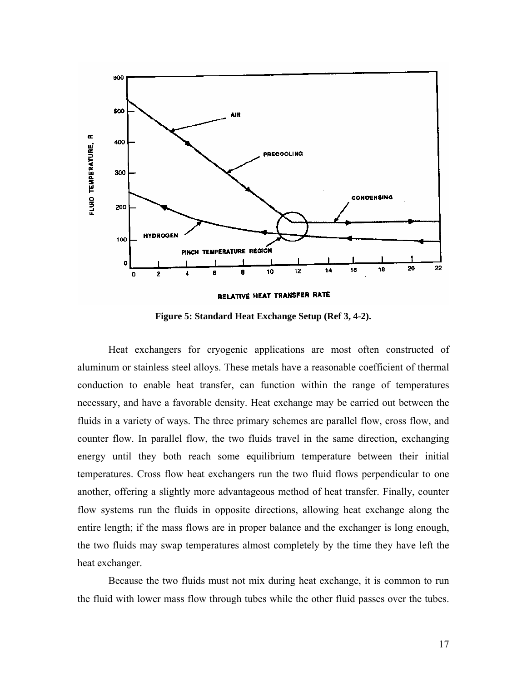

**Figure 5: Standard Heat Exchange Setup (Ref 3, 4-2).** 

Heat exchangers for cryogenic applications are most often constructed of aluminum or stainless steel alloys. These metals have a reasonable coefficient of thermal conduction to enable heat transfer, can function within the range of temperatures necessary, and have a favorable density. Heat exchange may be carried out between the fluids in a variety of ways. The three primary schemes are parallel flow, cross flow, and counter flow. In parallel flow, the two fluids travel in the same direction, exchanging energy until they both reach some equilibrium temperature between their initial temperatures. Cross flow heat exchangers run the two fluid flows perpendicular to one another, offering a slightly more advantageous method of heat transfer. Finally, counter flow systems run the fluids in opposite directions, allowing heat exchange along the entire length; if the mass flows are in proper balance and the exchanger is long enough, the two fluids may swap temperatures almost completely by the time they have left the heat exchanger.

Because the two fluids must not mix during heat exchange, it is common to run the fluid with lower mass flow through tubes while the other fluid passes over the tubes.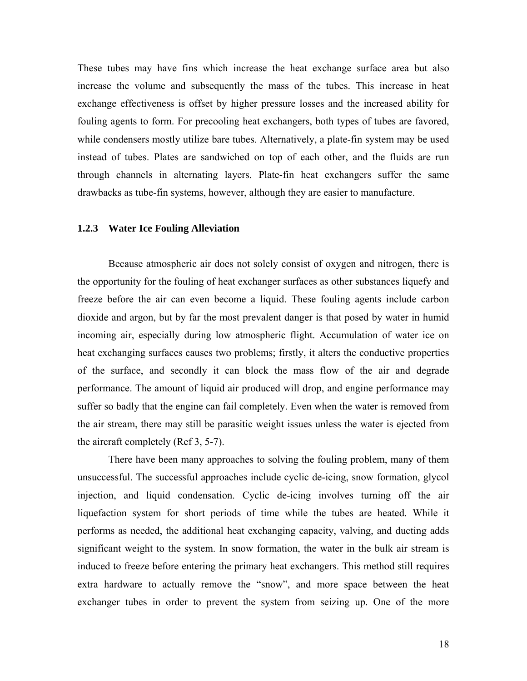These tubes may have fins which increase the heat exchange surface area but also increase the volume and subsequently the mass of the tubes. This increase in heat exchange effectiveness is offset by higher pressure losses and the increased ability for fouling agents to form. For precooling heat exchangers, both types of tubes are favored, while condensers mostly utilize bare tubes. Alternatively, a plate-fin system may be used instead of tubes. Plates are sandwiched on top of each other, and the fluids are run through channels in alternating layers. Plate-fin heat exchangers suffer the same drawbacks as tube-fin systems, however, although they are easier to manufacture.

#### **1.2.3 Water Ice Fouling Alleviation**

Because atmospheric air does not solely consist of oxygen and nitrogen, there is the opportunity for the fouling of heat exchanger surfaces as other substances liquefy and freeze before the air can even become a liquid. These fouling agents include carbon dioxide and argon, but by far the most prevalent danger is that posed by water in humid incoming air, especially during low atmospheric flight. Accumulation of water ice on heat exchanging surfaces causes two problems; firstly, it alters the conductive properties of the surface, and secondly it can block the mass flow of the air and degrade performance. The amount of liquid air produced will drop, and engine performance may suffer so badly that the engine can fail completely. Even when the water is removed from the air stream, there may still be parasitic weight issues unless the water is ejected from the aircraft completely (Ref 3, 5-7).

There have been many approaches to solving the fouling problem, many of them unsuccessful. The successful approaches include cyclic de-icing, snow formation, glycol injection, and liquid condensation. Cyclic de-icing involves turning off the air liquefaction system for short periods of time while the tubes are heated. While it performs as needed, the additional heat exchanging capacity, valving, and ducting adds significant weight to the system. In snow formation, the water in the bulk air stream is induced to freeze before entering the primary heat exchangers. This method still requires extra hardware to actually remove the "snow", and more space between the heat exchanger tubes in order to prevent the system from seizing up. One of the more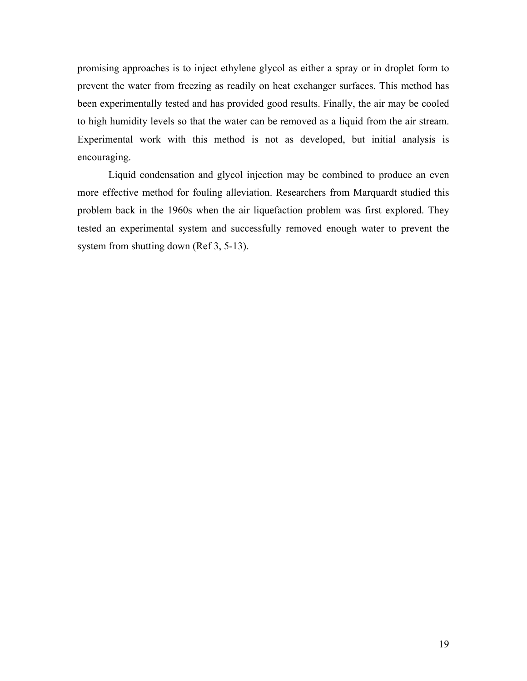promising approaches is to inject ethylene glycol as either a spray or in droplet form to prevent the water from freezing as readily on heat exchanger surfaces. This method has been experimentally tested and has provided good results. Finally, the air may be cooled to high humidity levels so that the water can be removed as a liquid from the air stream. Experimental work with this method is not as developed, but initial analysis is encouraging.

Liquid condensation and glycol injection may be combined to produce an even more effective method for fouling alleviation. Researchers from Marquardt studied this problem back in the 1960s when the air liquefaction problem was first explored. They tested an experimental system and successfully removed enough water to prevent the system from shutting down (Ref 3, 5-13).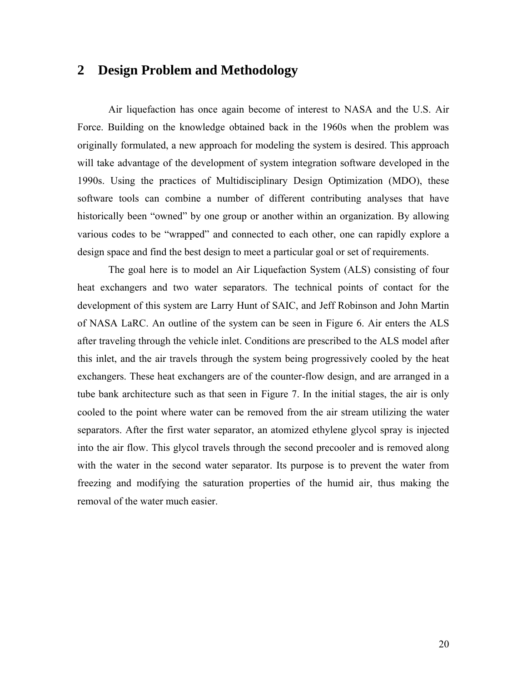### **2 Design Problem and Methodology**

Air liquefaction has once again become of interest to NASA and the U.S. Air Force. Building on the knowledge obtained back in the 1960s when the problem was originally formulated, a new approach for modeling the system is desired. This approach will take advantage of the development of system integration software developed in the 1990s. Using the practices of Multidisciplinary Design Optimization (MDO), these software tools can combine a number of different contributing analyses that have historically been "owned" by one group or another within an organization. By allowing various codes to be "wrapped" and connected to each other, one can rapidly explore a design space and find the best design to meet a particular goal or set of requirements.

The goal here is to model an Air Liquefaction System (ALS) consisting of four heat exchangers and two water separators. The technical points of contact for the development of this system are Larry Hunt of SAIC, and Jeff Robinson and John Martin of NASA LaRC. An outline of the system can be seen in Figure 6. Air enters the ALS after traveling through the vehicle inlet. Conditions are prescribed to the ALS model after this inlet, and the air travels through the system being progressively cooled by the heat exchangers. These heat exchangers are of the counter-flow design, and are arranged in a tube bank architecture such as that seen in Figure 7. In the initial stages, the air is only cooled to the point where water can be removed from the air stream utilizing the water separators. After the first water separator, an atomized ethylene glycol spray is injected into the air flow. This glycol travels through the second precooler and is removed along with the water in the second water separator. Its purpose is to prevent the water from freezing and modifying the saturation properties of the humid air, thus making the removal of the water much easier.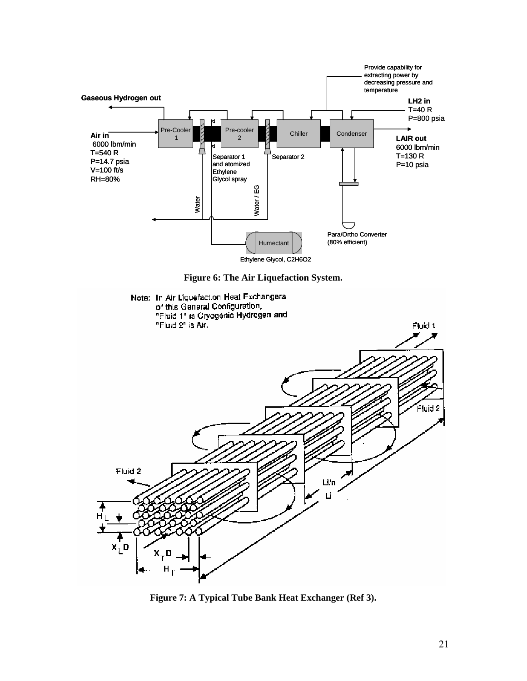

**Figure 7: A Typical Tube Bank Heat Exchanger (Ref 3).**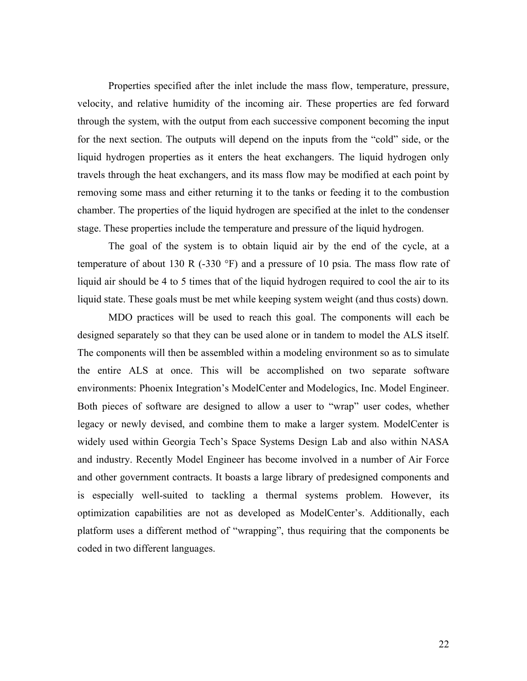Properties specified after the inlet include the mass flow, temperature, pressure, velocity, and relative humidity of the incoming air. These properties are fed forward through the system, with the output from each successive component becoming the input for the next section. The outputs will depend on the inputs from the "cold" side, or the liquid hydrogen properties as it enters the heat exchangers. The liquid hydrogen only travels through the heat exchangers, and its mass flow may be modified at each point by removing some mass and either returning it to the tanks or feeding it to the combustion chamber. The properties of the liquid hydrogen are specified at the inlet to the condenser stage. These properties include the temperature and pressure of the liquid hydrogen.

The goal of the system is to obtain liquid air by the end of the cycle, at a temperature of about 130 R  $(-330 \degree F)$  and a pressure of 10 psia. The mass flow rate of liquid air should be 4 to 5 times that of the liquid hydrogen required to cool the air to its liquid state. These goals must be met while keeping system weight (and thus costs) down.

MDO practices will be used to reach this goal. The components will each be designed separately so that they can be used alone or in tandem to model the ALS itself. The components will then be assembled within a modeling environment so as to simulate the entire ALS at once. This will be accomplished on two separate software environments: Phoenix Integration's ModelCenter and Modelogics, Inc. Model Engineer. Both pieces of software are designed to allow a user to "wrap" user codes, whether legacy or newly devised, and combine them to make a larger system. ModelCenter is widely used within Georgia Tech's Space Systems Design Lab and also within NASA and industry. Recently Model Engineer has become involved in a number of Air Force and other government contracts. It boasts a large library of predesigned components and is especially well-suited to tackling a thermal systems problem. However, its optimization capabilities are not as developed as ModelCenter's. Additionally, each platform uses a different method of "wrapping", thus requiring that the components be coded in two different languages.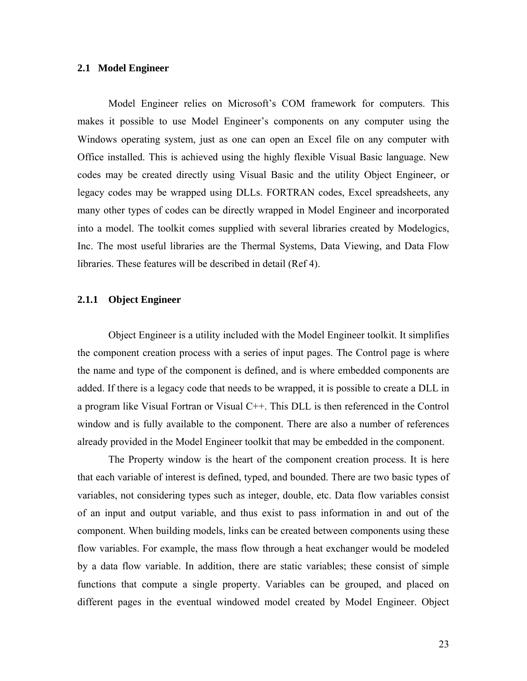#### **2.1 Model Engineer**

Model Engineer relies on Microsoft's COM framework for computers. This makes it possible to use Model Engineer's components on any computer using the Windows operating system, just as one can open an Excel file on any computer with Office installed. This is achieved using the highly flexible Visual Basic language. New codes may be created directly using Visual Basic and the utility Object Engineer, or legacy codes may be wrapped using DLLs. FORTRAN codes, Excel spreadsheets, any many other types of codes can be directly wrapped in Model Engineer and incorporated into a model. The toolkit comes supplied with several libraries created by Modelogics, Inc. The most useful libraries are the Thermal Systems, Data Viewing, and Data Flow libraries. These features will be described in detail (Ref 4).

#### **2.1.1 Object Engineer**

Object Engineer is a utility included with the Model Engineer toolkit. It simplifies the component creation process with a series of input pages. The Control page is where the name and type of the component is defined, and is where embedded components are added. If there is a legacy code that needs to be wrapped, it is possible to create a DLL in a program like Visual Fortran or Visual C++. This DLL is then referenced in the Control window and is fully available to the component. There are also a number of references already provided in the Model Engineer toolkit that may be embedded in the component.

The Property window is the heart of the component creation process. It is here that each variable of interest is defined, typed, and bounded. There are two basic types of variables, not considering types such as integer, double, etc. Data flow variables consist of an input and output variable, and thus exist to pass information in and out of the component. When building models, links can be created between components using these flow variables. For example, the mass flow through a heat exchanger would be modeled by a data flow variable. In addition, there are static variables; these consist of simple functions that compute a single property. Variables can be grouped, and placed on different pages in the eventual windowed model created by Model Engineer. Object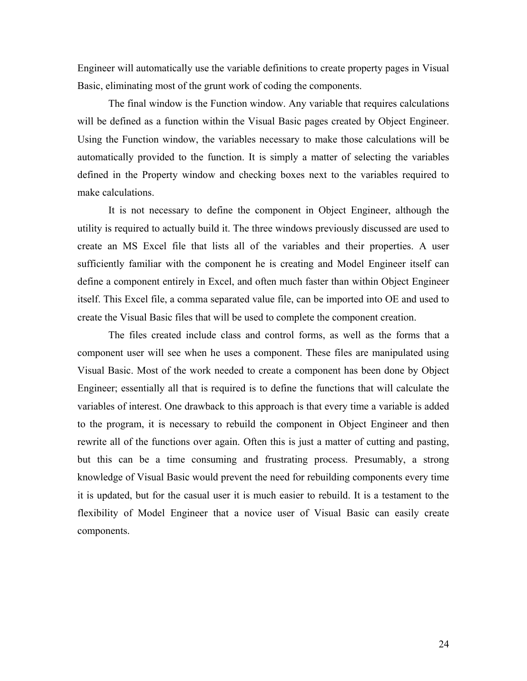Engineer will automatically use the variable definitions to create property pages in Visual Basic, eliminating most of the grunt work of coding the components.

The final window is the Function window. Any variable that requires calculations will be defined as a function within the Visual Basic pages created by Object Engineer. Using the Function window, the variables necessary to make those calculations will be automatically provided to the function. It is simply a matter of selecting the variables defined in the Property window and checking boxes next to the variables required to make calculations.

It is not necessary to define the component in Object Engineer, although the utility is required to actually build it. The three windows previously discussed are used to create an MS Excel file that lists all of the variables and their properties. A user sufficiently familiar with the component he is creating and Model Engineer itself can define a component entirely in Excel, and often much faster than within Object Engineer itself. This Excel file, a comma separated value file, can be imported into OE and used to create the Visual Basic files that will be used to complete the component creation.

The files created include class and control forms, as well as the forms that a component user will see when he uses a component. These files are manipulated using Visual Basic. Most of the work needed to create a component has been done by Object Engineer; essentially all that is required is to define the functions that will calculate the variables of interest. One drawback to this approach is that every time a variable is added to the program, it is necessary to rebuild the component in Object Engineer and then rewrite all of the functions over again. Often this is just a matter of cutting and pasting, but this can be a time consuming and frustrating process. Presumably, a strong knowledge of Visual Basic would prevent the need for rebuilding components every time it is updated, but for the casual user it is much easier to rebuild. It is a testament to the flexibility of Model Engineer that a novice user of Visual Basic can easily create components.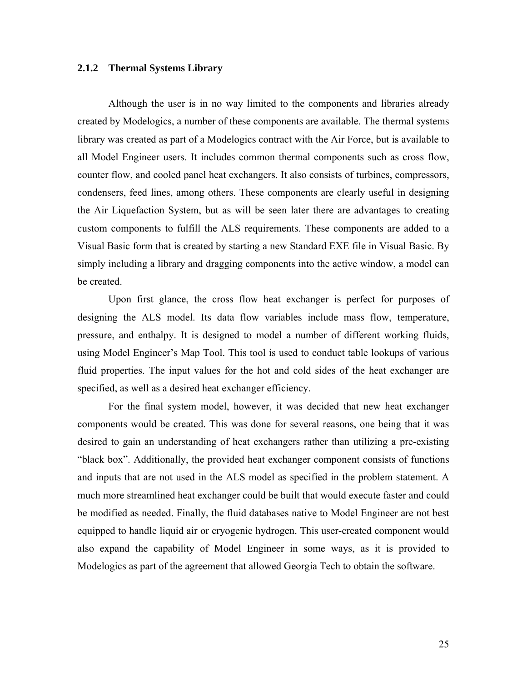#### **2.1.2 Thermal Systems Library**

Although the user is in no way limited to the components and libraries already created by Modelogics, a number of these components are available. The thermal systems library was created as part of a Modelogics contract with the Air Force, but is available to all Model Engineer users. It includes common thermal components such as cross flow, counter flow, and cooled panel heat exchangers. It also consists of turbines, compressors, condensers, feed lines, among others. These components are clearly useful in designing the Air Liquefaction System, but as will be seen later there are advantages to creating custom components to fulfill the ALS requirements. These components are added to a Visual Basic form that is created by starting a new Standard EXE file in Visual Basic. By simply including a library and dragging components into the active window, a model can be created.

Upon first glance, the cross flow heat exchanger is perfect for purposes of designing the ALS model. Its data flow variables include mass flow, temperature, pressure, and enthalpy. It is designed to model a number of different working fluids, using Model Engineer's Map Tool. This tool is used to conduct table lookups of various fluid properties. The input values for the hot and cold sides of the heat exchanger are specified, as well as a desired heat exchanger efficiency.

For the final system model, however, it was decided that new heat exchanger components would be created. This was done for several reasons, one being that it was desired to gain an understanding of heat exchangers rather than utilizing a pre-existing "black box". Additionally, the provided heat exchanger component consists of functions and inputs that are not used in the ALS model as specified in the problem statement. A much more streamlined heat exchanger could be built that would execute faster and could be modified as needed. Finally, the fluid databases native to Model Engineer are not best equipped to handle liquid air or cryogenic hydrogen. This user-created component would also expand the capability of Model Engineer in some ways, as it is provided to Modelogics as part of the agreement that allowed Georgia Tech to obtain the software.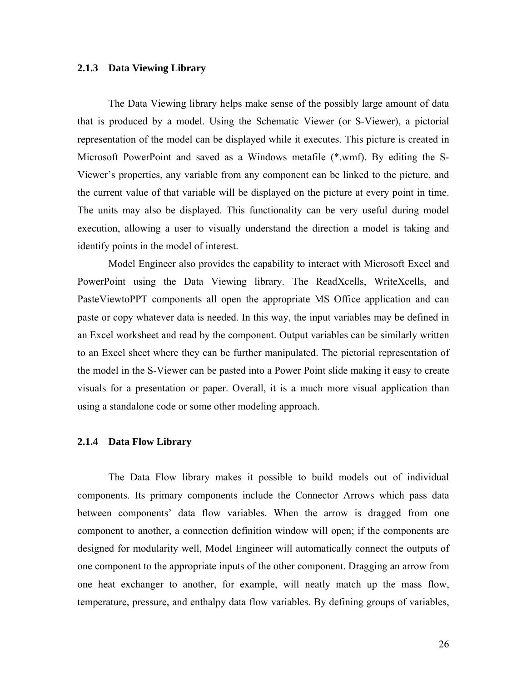#### **2.1.3 Data Viewing Library**

The Data Viewing library helps make sense of the possibly large amount of data that is produced by a model. Using the Schematic Viewer (or S-Viewer), a pictorial representation of the model can be displayed while it executes. This picture is created in Microsoft PowerPoint and saved as a Windows metafile (\*.wmf). By editing the S-Viewer's properties, any variable from any component can be linked to the picture, and the current value of that variable will be displayed on the picture at every point in time. The units may also be displayed. This functionality can be very useful during model execution, allowing a user to visually understand the direction a model is taking and identify points in the model of interest.

Model Engineer also provides the capability to interact with Microsoft Excel and PowerPoint using the Data Viewing library. The ReadXcells, WriteXcells, and PasteViewtoPPT components all open the appropriate MS Office application and can paste or copy whatever data is needed. In this way, the input variables may be defined in an Excel worksheet and read by the component. Output variables can be similarly written to an Excel sheet where they can be further manipulated. The pictorial representation of the model in the S-Viewer can be pasted into a Power Point slide making it easy to create visuals for a presentation or paper. Overall, it is a much more visual application than using a standalone code or some other modeling approach.

#### **2.1.4 Data Flow Library**

The Data Flow library makes it possible to build models out of individual components. Its primary components include the Connector Arrows which pass data between components' data flow variables. When the arrow is dragged from one component to another, a connection definition window will open; if the components are designed for modularity well, Model Engineer will automatically connect the outputs of one component to the appropriate inputs of the other component. Dragging an arrow from one heat exchanger to another, for example, will neatly match up the mass flow, temperature, pressure, and enthalpy data flow variables. By defining groups of variables,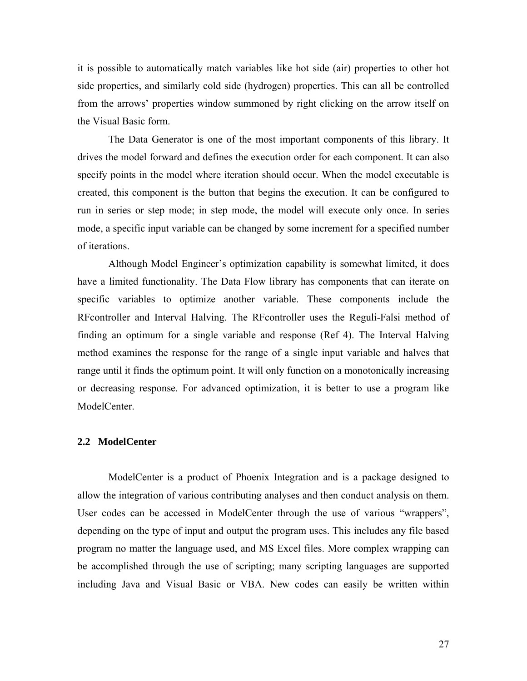it is possible to automatically match variables like hot side (air) properties to other hot side properties, and similarly cold side (hydrogen) properties. This can all be controlled from the arrows' properties window summoned by right clicking on the arrow itself on the Visual Basic form.

The Data Generator is one of the most important components of this library. It drives the model forward and defines the execution order for each component. It can also specify points in the model where iteration should occur. When the model executable is created, this component is the button that begins the execution. It can be configured to run in series or step mode; in step mode, the model will execute only once. In series mode, a specific input variable can be changed by some increment for a specified number of iterations.

Although Model Engineer's optimization capability is somewhat limited, it does have a limited functionality. The Data Flow library has components that can iterate on specific variables to optimize another variable. These components include the RFcontroller and Interval Halving. The RFcontroller uses the Reguli-Falsi method of finding an optimum for a single variable and response (Ref 4). The Interval Halving method examines the response for the range of a single input variable and halves that range until it finds the optimum point. It will only function on a monotonically increasing or decreasing response. For advanced optimization, it is better to use a program like ModelCenter.

#### **2.2 ModelCenter**

ModelCenter is a product of Phoenix Integration and is a package designed to allow the integration of various contributing analyses and then conduct analysis on them. User codes can be accessed in ModelCenter through the use of various "wrappers", depending on the type of input and output the program uses. This includes any file based program no matter the language used, and MS Excel files. More complex wrapping can be accomplished through the use of scripting; many scripting languages are supported including Java and Visual Basic or VBA. New codes can easily be written within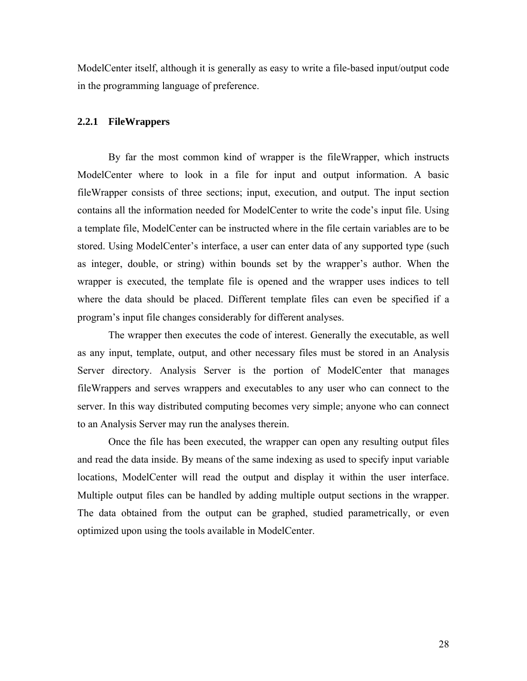ModelCenter itself, although it is generally as easy to write a file-based input/output code in the programming language of preference.

#### **2.2.1 FileWrappers**

By far the most common kind of wrapper is the fileWrapper, which instructs ModelCenter where to look in a file for input and output information. A basic fileWrapper consists of three sections; input, execution, and output. The input section contains all the information needed for ModelCenter to write the code's input file. Using a template file, ModelCenter can be instructed where in the file certain variables are to be stored. Using ModelCenter's interface, a user can enter data of any supported type (such as integer, double, or string) within bounds set by the wrapper's author. When the wrapper is executed, the template file is opened and the wrapper uses indices to tell where the data should be placed. Different template files can even be specified if a program's input file changes considerably for different analyses.

The wrapper then executes the code of interest. Generally the executable, as well as any input, template, output, and other necessary files must be stored in an Analysis Server directory. Analysis Server is the portion of ModelCenter that manages fileWrappers and serves wrappers and executables to any user who can connect to the server. In this way distributed computing becomes very simple; anyone who can connect to an Analysis Server may run the analyses therein.

Once the file has been executed, the wrapper can open any resulting output files and read the data inside. By means of the same indexing as used to specify input variable locations, ModelCenter will read the output and display it within the user interface. Multiple output files can be handled by adding multiple output sections in the wrapper. The data obtained from the output can be graphed, studied parametrically, or even optimized upon using the tools available in ModelCenter.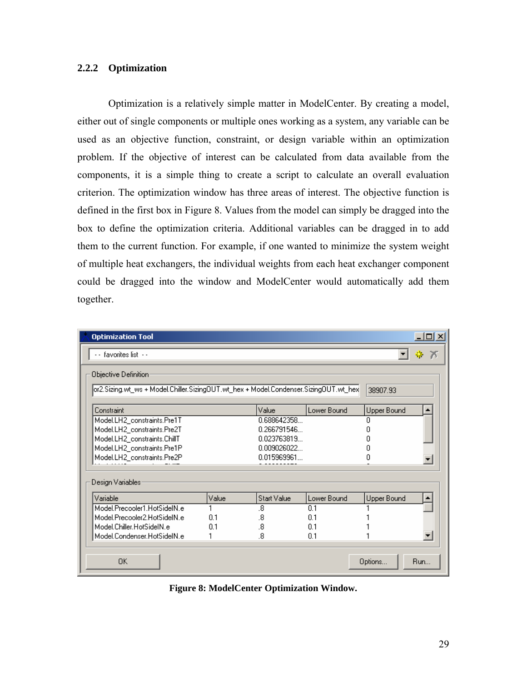#### **2.2.2 Optimization**

Optimization is a relatively simple matter in ModelCenter. By creating a model, either out of single components or multiple ones working as a system, any variable can be used as an objective function, constraint, or design variable within an optimization problem. If the objective of interest can be calculated from data available from the components, it is a simple thing to create a script to calculate an overall evaluation criterion. The optimization window has three areas of interest. The objective function is defined in the first box in Figure 8. Values from the model can simply be dragged into the box to define the optimization criteria. Additional variables can be dragged in to add them to the current function. For example, if one wanted to minimize the system weight of multiple heat exchangers, the individual weights from each heat exchanger component could be dragged into the window and ModelCenter would automatically add them together.

| <b>Optimization Tool</b>                                                              |          |                    |             |                    | $ \Box$ $\times$ |  |  |
|---------------------------------------------------------------------------------------|----------|--------------------|-------------|--------------------|------------------|--|--|
| - - favorites list - -                                                                |          |                    |             |                    | 帶<br>75          |  |  |
| Objective Definition:                                                                 |          |                    |             |                    |                  |  |  |
| [or2.Sizing.wt_ws + Model.Chiller.Sizing0UT.wt_hex + Model.Condenser.Sizing0UT.wt_hex | 38907.93 |                    |             |                    |                  |  |  |
|                                                                                       |          |                    |             |                    |                  |  |  |
| Constraint                                                                            |          | Value              | Lower Bound | <b>Upper Bound</b> |                  |  |  |
| Model.LH2_constraints.Pre1T                                                           |          | 0.688642358        |             | 0                  |                  |  |  |
| Model.LH2_constraints.Pre2T                                                           |          | 0.266791546        |             |                    |                  |  |  |
| Model.LH2_constraints.ChillT                                                          |          | 0.023763819        |             | n                  |                  |  |  |
| Model.LH2_constraints.Pre1P                                                           |          | 0.009026022        |             | Π                  |                  |  |  |
| Model.LH2_constraints.Pre2P                                                           |          | 0.015969961        |             | 0                  |                  |  |  |
|                                                                                       |          |                    |             |                    |                  |  |  |
| Design Variables:                                                                     |          |                    |             |                    |                  |  |  |
| Variable                                                                              | Value    | <b>Start Value</b> | Lower Bound | Upper Bound        |                  |  |  |
| Model.Precooler1.HotSideIN.e                                                          |          | .8                 | 0.1         |                    |                  |  |  |
| Model.Precooler2.HotSideIN.e                                                          | 0.1      | .8                 | 0.1         |                    |                  |  |  |
| Model.Chiller.HotSideIN.e                                                             | 0.1      | .8                 | 0.1         |                    |                  |  |  |
| Model.Condenser.HotSideIN.e                                                           |          | .8                 | 0.1         |                    |                  |  |  |
| 0K                                                                                    |          |                    |             | Options            | Run              |  |  |

**Figure 8: ModelCenter Optimization Window.**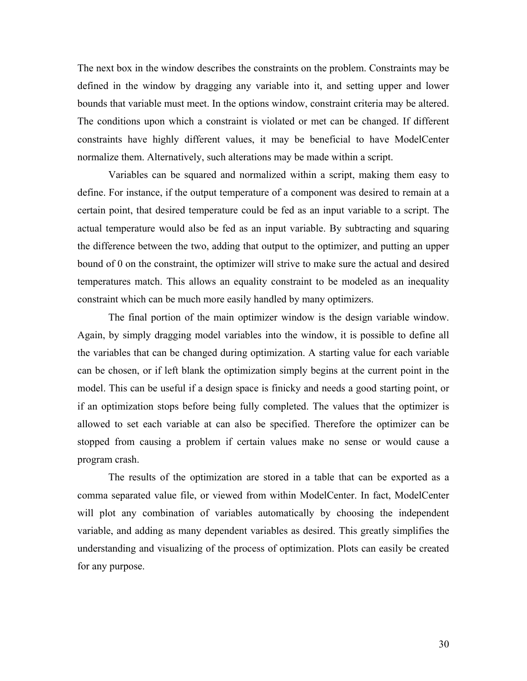The next box in the window describes the constraints on the problem. Constraints may be defined in the window by dragging any variable into it, and setting upper and lower bounds that variable must meet. In the options window, constraint criteria may be altered. The conditions upon which a constraint is violated or met can be changed. If different constraints have highly different values, it may be beneficial to have ModelCenter normalize them. Alternatively, such alterations may be made within a script.

Variables can be squared and normalized within a script, making them easy to define. For instance, if the output temperature of a component was desired to remain at a certain point, that desired temperature could be fed as an input variable to a script. The actual temperature would also be fed as an input variable. By subtracting and squaring the difference between the two, adding that output to the optimizer, and putting an upper bound of 0 on the constraint, the optimizer will strive to make sure the actual and desired temperatures match. This allows an equality constraint to be modeled as an inequality constraint which can be much more easily handled by many optimizers.

The final portion of the main optimizer window is the design variable window. Again, by simply dragging model variables into the window, it is possible to define all the variables that can be changed during optimization. A starting value for each variable can be chosen, or if left blank the optimization simply begins at the current point in the model. This can be useful if a design space is finicky and needs a good starting point, or if an optimization stops before being fully completed. The values that the optimizer is allowed to set each variable at can also be specified. Therefore the optimizer can be stopped from causing a problem if certain values make no sense or would cause a program crash.

The results of the optimization are stored in a table that can be exported as a comma separated value file, or viewed from within ModelCenter. In fact, ModelCenter will plot any combination of variables automatically by choosing the independent variable, and adding as many dependent variables as desired. This greatly simplifies the understanding and visualizing of the process of optimization. Plots can easily be created for any purpose.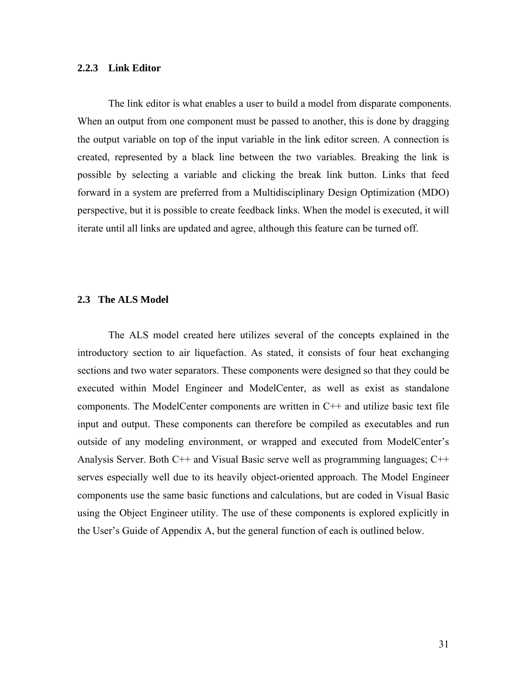#### **2.2.3 Link Editor**

The link editor is what enables a user to build a model from disparate components. When an output from one component must be passed to another, this is done by dragging the output variable on top of the input variable in the link editor screen. A connection is created, represented by a black line between the two variables. Breaking the link is possible by selecting a variable and clicking the break link button. Links that feed forward in a system are preferred from a Multidisciplinary Design Optimization (MDO) perspective, but it is possible to create feedback links. When the model is executed, it will iterate until all links are updated and agree, although this feature can be turned off.

#### **2.3 The ALS Model**

The ALS model created here utilizes several of the concepts explained in the introductory section to air liquefaction. As stated, it consists of four heat exchanging sections and two water separators. These components were designed so that they could be executed within Model Engineer and ModelCenter, as well as exist as standalone components. The ModelCenter components are written in C++ and utilize basic text file input and output. These components can therefore be compiled as executables and run outside of any modeling environment, or wrapped and executed from ModelCenter's Analysis Server. Both C++ and Visual Basic serve well as programming languages; C++ serves especially well due to its heavily object-oriented approach. The Model Engineer components use the same basic functions and calculations, but are coded in Visual Basic using the Object Engineer utility. The use of these components is explored explicitly in the User's Guide of Appendix A, but the general function of each is outlined below.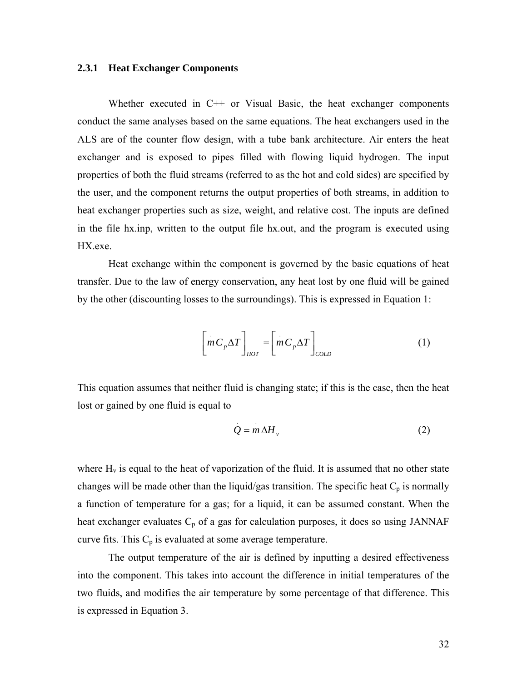#### **2.3.1 Heat Exchanger Components**

Whether executed in C++ or Visual Basic, the heat exchanger components conduct the same analyses based on the same equations. The heat exchangers used in the ALS are of the counter flow design, with a tube bank architecture. Air enters the heat exchanger and is exposed to pipes filled with flowing liquid hydrogen. The input properties of both the fluid streams (referred to as the hot and cold sides) are specified by the user, and the component returns the output properties of both streams, in addition to heat exchanger properties such as size, weight, and relative cost. The inputs are defined in the file hx.inp, written to the output file hx.out, and the program is executed using HX.exe.

Heat exchange within the component is governed by the basic equations of heat transfer. Due to the law of energy conservation, any heat lost by one fluid will be gained by the other (discounting losses to the surroundings). This is expressed in Equation 1:

$$
\left[mC_p\Delta T\right]_{HOT} = \left[mC_p\Delta T\right]_{COLD} \tag{1}
$$

This equation assumes that neither fluid is changing state; if this is the case, then the heat lost or gained by one fluid is equal to

$$
Q = m \Delta H_{v}
$$
 (2)

where  $H<sub>v</sub>$  is equal to the heat of vaporization of the fluid. It is assumed that no other state changes will be made other than the liquid/gas transition. The specific heat  $C_p$  is normally a function of temperature for a gas; for a liquid, it can be assumed constant. When the heat exchanger evaluates  $C_p$  of a gas for calculation purposes, it does so using JANNAF curve fits. This  $C_p$  is evaluated at some average temperature.

The output temperature of the air is defined by inputting a desired effectiveness into the component. This takes into account the difference in initial temperatures of the two fluids, and modifies the air temperature by some percentage of that difference. This is expressed in Equation 3.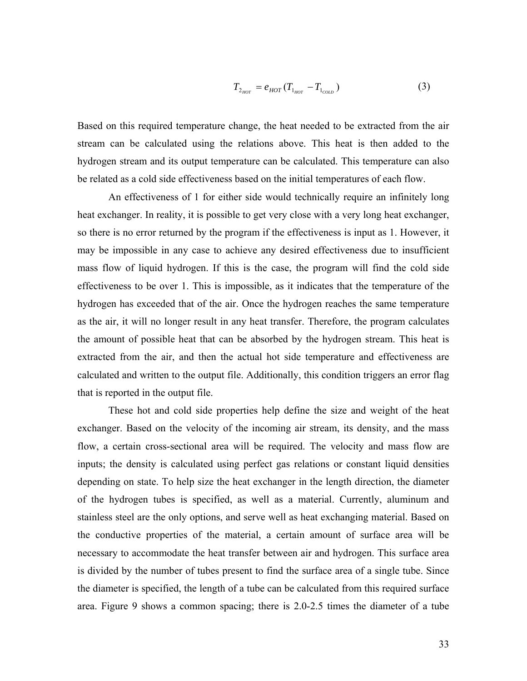$$
T_{2_{HOT}} = e_{HOT} (T_{1_{HOT}} - T_{1_{COLD}})
$$
 (3)

Based on this required temperature change, the heat needed to be extracted from the air stream can be calculated using the relations above. This heat is then added to the hydrogen stream and its output temperature can be calculated. This temperature can also be related as a cold side effectiveness based on the initial temperatures of each flow.

An effectiveness of 1 for either side would technically require an infinitely long heat exchanger. In reality, it is possible to get very close with a very long heat exchanger, so there is no error returned by the program if the effectiveness is input as 1. However, it may be impossible in any case to achieve any desired effectiveness due to insufficient mass flow of liquid hydrogen. If this is the case, the program will find the cold side effectiveness to be over 1. This is impossible, as it indicates that the temperature of the hydrogen has exceeded that of the air. Once the hydrogen reaches the same temperature as the air, it will no longer result in any heat transfer. Therefore, the program calculates the amount of possible heat that can be absorbed by the hydrogen stream. This heat is extracted from the air, and then the actual hot side temperature and effectiveness are calculated and written to the output file. Additionally, this condition triggers an error flag that is reported in the output file.

These hot and cold side properties help define the size and weight of the heat exchanger. Based on the velocity of the incoming air stream, its density, and the mass flow, a certain cross-sectional area will be required. The velocity and mass flow are inputs; the density is calculated using perfect gas relations or constant liquid densities depending on state. To help size the heat exchanger in the length direction, the diameter of the hydrogen tubes is specified, as well as a material. Currently, aluminum and stainless steel are the only options, and serve well as heat exchanging material. Based on the conductive properties of the material, a certain amount of surface area will be necessary to accommodate the heat transfer between air and hydrogen. This surface area is divided by the number of tubes present to find the surface area of a single tube. Since the diameter is specified, the length of a tube can be calculated from this required surface area. Figure 9 shows a common spacing; there is 2.0-2.5 times the diameter of a tube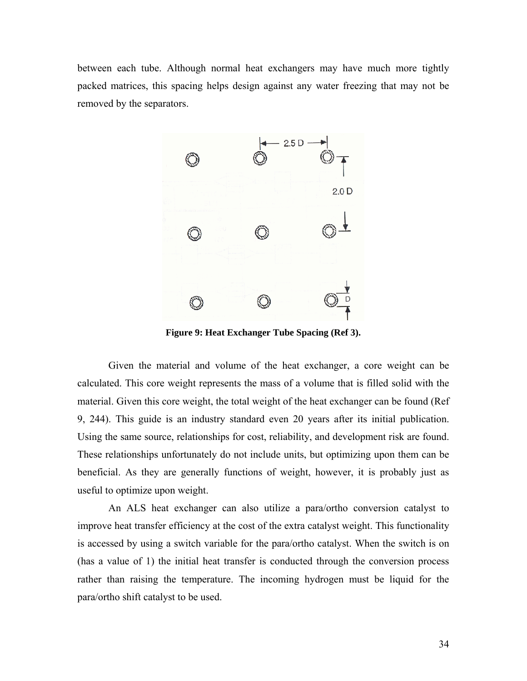between each tube. Although normal heat exchangers may have much more tightly packed matrices, this spacing helps design against any water freezing that may not be removed by the separators.



**Figure 9: Heat Exchanger Tube Spacing (Ref 3).** 

Given the material and volume of the heat exchanger, a core weight can be calculated. This core weight represents the mass of a volume that is filled solid with the material. Given this core weight, the total weight of the heat exchanger can be found (Ref 9, 244). This guide is an industry standard even 20 years after its initial publication. Using the same source, relationships for cost, reliability, and development risk are found. These relationships unfortunately do not include units, but optimizing upon them can be beneficial. As they are generally functions of weight, however, it is probably just as useful to optimize upon weight.

An ALS heat exchanger can also utilize a para/ortho conversion catalyst to improve heat transfer efficiency at the cost of the extra catalyst weight. This functionality is accessed by using a switch variable for the para/ortho catalyst. When the switch is on (has a value of 1) the initial heat transfer is conducted through the conversion process rather than raising the temperature. The incoming hydrogen must be liquid for the para/ortho shift catalyst to be used.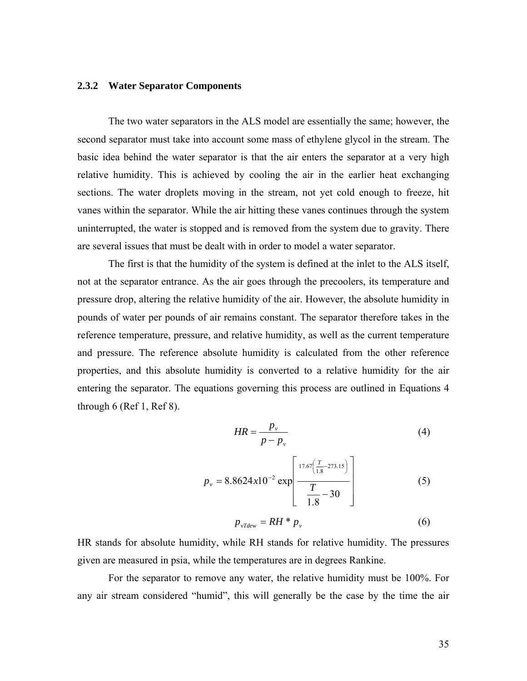#### **2.3.2 Water Separator Components**

The two water separators in the ALS model are essentially the same; however, the second separator must take into account some mass of ethylene glycol in the stream. The basic idea behind the water separator is that the air enters the separator at a very high relative humidity. This is achieved by cooling the air in the earlier heat exchanging sections. The water droplets moving in the stream, not yet cold enough to freeze, hit vanes within the separator. While the air hitting these vanes continues through the system uninterrupted, the water is stopped and is removed from the system due to gravity. There are several issues that must be dealt with in order to model a water separator.

The first is that the humidity of the system is defined at the inlet to the ALS itself, not at the separator entrance. As the air goes through the precoolers, its temperature and pressure drop, altering the relative humidity of the air. However, the absolute humidity in pounds of water per pounds of air remains constant. The separator therefore takes in the reference temperature, pressure, and relative humidity, as well as the current temperature and pressure. The reference absolute humidity is calculated from the other reference properties, and this absolute humidity is converted to a relative humidity for the air entering the separator. The equations governing this process are outlined in Equations 4 through  $6$  (Ref 1, Ref 8).

$$
HR = \frac{p_v}{p - p_v} \tag{4}
$$

$$
p_{\nu} = 8.8624x10^{-2} \exp\left[\frac{17.67\left(\frac{T}{1.8} - 273.15\right)}{\frac{T}{1.8} - 30}\right]
$$
 (5)

$$
p_{\nu Tdev} = RH * p_{\nu} \tag{6}
$$

HR stands for absolute humidity, while RH stands for relative humidity. The pressures given are measured in psia, while the temperatures are in degrees Rankine.

For the separator to remove any water, the relative humidity must be 100%. For any air stream considered "humid", this will generally be the case by the time the air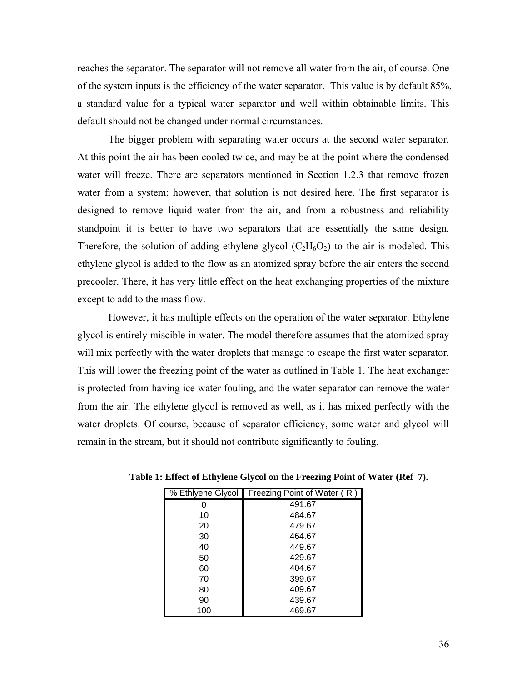reaches the separator. The separator will not remove all water from the air, of course. One of the system inputs is the efficiency of the water separator. This value is by default 85%, a standard value for a typical water separator and well within obtainable limits. This default should not be changed under normal circumstances.

The bigger problem with separating water occurs at the second water separator. At this point the air has been cooled twice, and may be at the point where the condensed water will freeze. There are separators mentioned in Section 1.2.3 that remove frozen water from a system; however, that solution is not desired here. The first separator is designed to remove liquid water from the air, and from a robustness and reliability standpoint it is better to have two separators that are essentially the same design. Therefore, the solution of adding ethylene glycol  $(C_2H_6O_2)$  to the air is modeled. This ethylene glycol is added to the flow as an atomized spray before the air enters the second precooler. There, it has very little effect on the heat exchanging properties of the mixture except to add to the mass flow.

However, it has multiple effects on the operation of the water separator. Ethylene glycol is entirely miscible in water. The model therefore assumes that the atomized spray will mix perfectly with the water droplets that manage to escape the first water separator. This will lower the freezing point of the water as outlined in Table 1. The heat exchanger is protected from having ice water fouling, and the water separator can remove the water from the air. The ethylene glycol is removed as well, as it has mixed perfectly with the water droplets. Of course, because of separator efficiency, some water and glycol will remain in the stream, but it should not contribute significantly to fouling.

|     | % Ethlyene Glycol   Freezing Point of Water (R) |
|-----|-------------------------------------------------|
| Ω   | 491.67                                          |
| 10  | 484.67                                          |
| 20  | 479.67                                          |
| 30  | 464.67                                          |
| 40  | 449.67                                          |
| 50  | 429.67                                          |
| 60  | 404.67                                          |
| 70  | 399.67                                          |
| 80  | 409.67                                          |
| 90  | 439.67                                          |
| 100 | 469.67                                          |

**Table 1: Effect of Ethylene Glycol on the Freezing Point of Water (Ref 7).**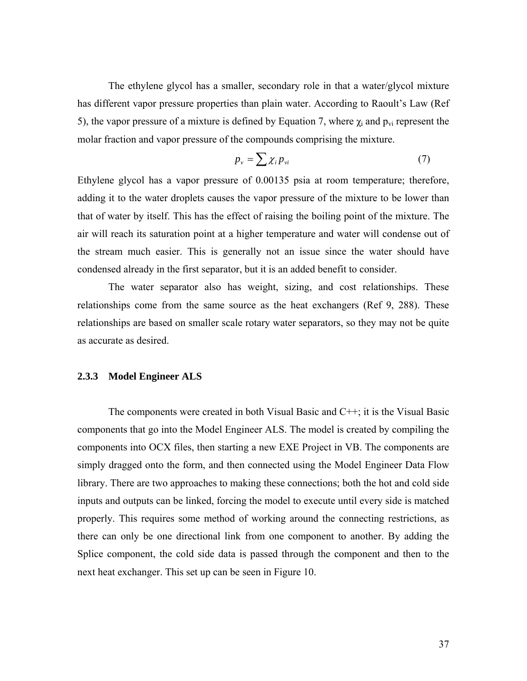The ethylene glycol has a smaller, secondary role in that a water/glycol mixture has different vapor pressure properties than plain water. According to Raoult's Law (Ref 5), the vapor pressure of a mixture is defined by Equation 7, where  $\chi_i$  and  $p_{vi}$  represent the molar fraction and vapor pressure of the compounds comprising the mixture.

$$
p_{v} = \sum \chi_{i} p_{vi} \tag{7}
$$

Ethylene glycol has a vapor pressure of 0.00135 psia at room temperature; therefore, adding it to the water droplets causes the vapor pressure of the mixture to be lower than that of water by itself. This has the effect of raising the boiling point of the mixture. The air will reach its saturation point at a higher temperature and water will condense out of the stream much easier. This is generally not an issue since the water should have condensed already in the first separator, but it is an added benefit to consider.

The water separator also has weight, sizing, and cost relationships. These relationships come from the same source as the heat exchangers (Ref 9, 288). These relationships are based on smaller scale rotary water separators, so they may not be quite as accurate as desired.

#### **2.3.3 Model Engineer ALS**

The components were created in both Visual Basic and C++; it is the Visual Basic components that go into the Model Engineer ALS. The model is created by compiling the components into OCX files, then starting a new EXE Project in VB. The components are simply dragged onto the form, and then connected using the Model Engineer Data Flow library. There are two approaches to making these connections; both the hot and cold side inputs and outputs can be linked, forcing the model to execute until every side is matched properly. This requires some method of working around the connecting restrictions, as there can only be one directional link from one component to another. By adding the Splice component, the cold side data is passed through the component and then to the next heat exchanger. This set up can be seen in Figure 10.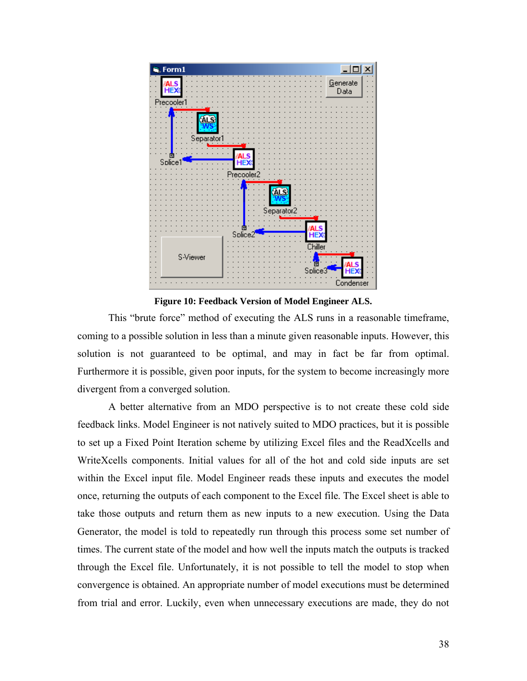

**Figure 10: Feedback Version of Model Engineer ALS.** 

This "brute force" method of executing the ALS runs in a reasonable timeframe, coming to a possible solution in less than a minute given reasonable inputs. However, this solution is not guaranteed to be optimal, and may in fact be far from optimal. Furthermore it is possible, given poor inputs, for the system to become increasingly more divergent from a converged solution.

A better alternative from an MDO perspective is to not create these cold side feedback links. Model Engineer is not natively suited to MDO practices, but it is possible to set up a Fixed Point Iteration scheme by utilizing Excel files and the ReadXcells and WriteXcells components. Initial values for all of the hot and cold side inputs are set within the Excel input file. Model Engineer reads these inputs and executes the model once, returning the outputs of each component to the Excel file. The Excel sheet is able to take those outputs and return them as new inputs to a new execution. Using the Data Generator, the model is told to repeatedly run through this process some set number of times. The current state of the model and how well the inputs match the outputs is tracked through the Excel file. Unfortunately, it is not possible to tell the model to stop when convergence is obtained. An appropriate number of model executions must be determined from trial and error. Luckily, even when unnecessary executions are made, they do not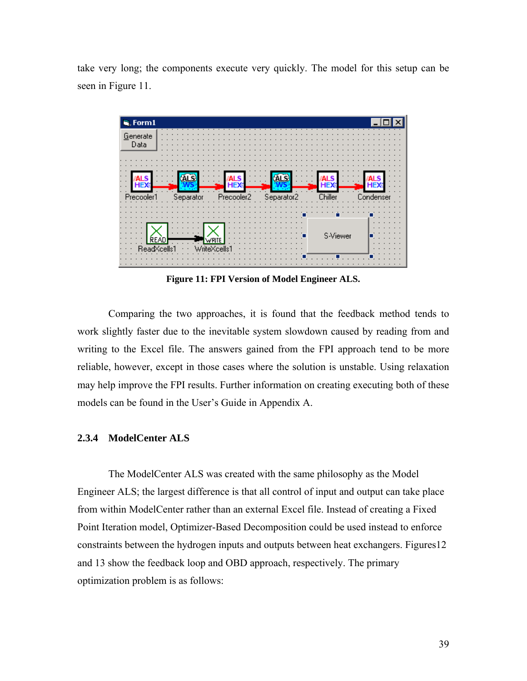take very long; the components execute very quickly. The model for this setup can be seen in Figure 11.



**Figure 11: FPI Version of Model Engineer ALS.** 

Comparing the two approaches, it is found that the feedback method tends to work slightly faster due to the inevitable system slowdown caused by reading from and writing to the Excel file. The answers gained from the FPI approach tend to be more reliable, however, except in those cases where the solution is unstable. Using relaxation may help improve the FPI results. Further information on creating executing both of these models can be found in the User's Guide in Appendix A.

#### **2.3.4 ModelCenter ALS**

The ModelCenter ALS was created with the same philosophy as the Model Engineer ALS; the largest difference is that all control of input and output can take place from within ModelCenter rather than an external Excel file. Instead of creating a Fixed Point Iteration model, Optimizer-Based Decomposition could be used instead to enforce constraints between the hydrogen inputs and outputs between heat exchangers. Figures12 and 13 show the feedback loop and OBD approach, respectively. The primary optimization problem is as follows: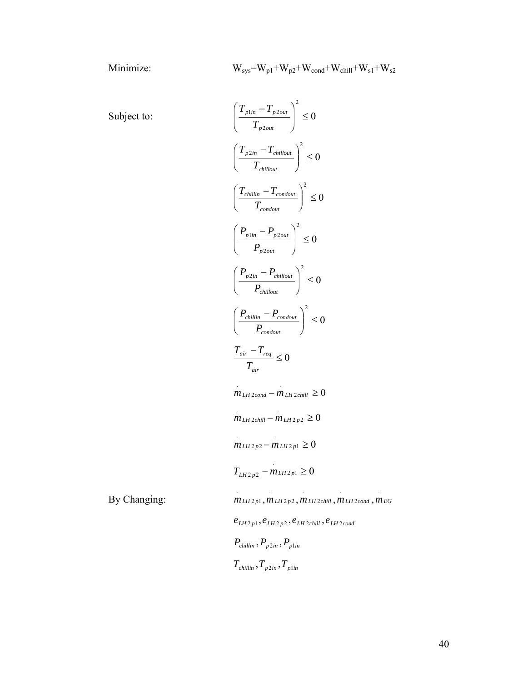$$
W_{sys}\!\!=\!W_{p1}\!+\!W_{p2}\!+\!W_{cond}\!+\!W_{child}\!+\!W_{s1}\!+\!W_{s2}
$$

Subject to:

 $By Changing:$ 

Subject to:  
\n
$$
\left(\frac{T_{p1m} - T_{p2out}}{T_{p2out}}\right)^2 \le 0
$$
\n
$$
\left(\frac{T_{p2m} - T_{children}}{T_{children}}\right)^2 \le 0
$$
\n
$$
\left(\frac{T_{children} - T_{condout}}{T_{condout}}\right)^2 \le 0
$$
\n
$$
\left(\frac{P_{p1m} - P_{p2out}}{P_{p2out}}\right)^2 \le 0
$$
\n
$$
\left(\frac{P_{p2m} - P_{P1out}}{P_{inert} - P_{condout}}\right)^2 \le 0
$$
\n
$$
\left(\frac{P_{children}}{P_{condout}}\right)^2 \le 0
$$
\n
$$
\left(\frac{T_{children}}{P_{condout}}\right)^2 \le 0
$$
\n
$$
\frac{T_{air} - T_{req}}{T_{air}} \le 0
$$
\n
$$
m_{LH2cond} - m_{LH2chill} \ge 0
$$
\n
$$
m_{LH2p2} - m_{LH2p1} \ge 0
$$
\n
$$
T_{LH2p2} - m_{LH2p1} \ge 0
$$
\nBy Changing:  
\n
$$
m_{LH2p1}, m_{LH2p2}, m_{LH2chill}, m_{LH2cond}, m_{EG}
$$
\n
$$
e_{LH2p1}, e_{LH2p2}, e_{LH2chill}, e_{LH2cond}
$$
\n
$$
P_{chullin}, P_{p2in}, P_{plin}
$$
\n
$$
T_{chillin}, T_{p2in}, T_{plin}
$$

.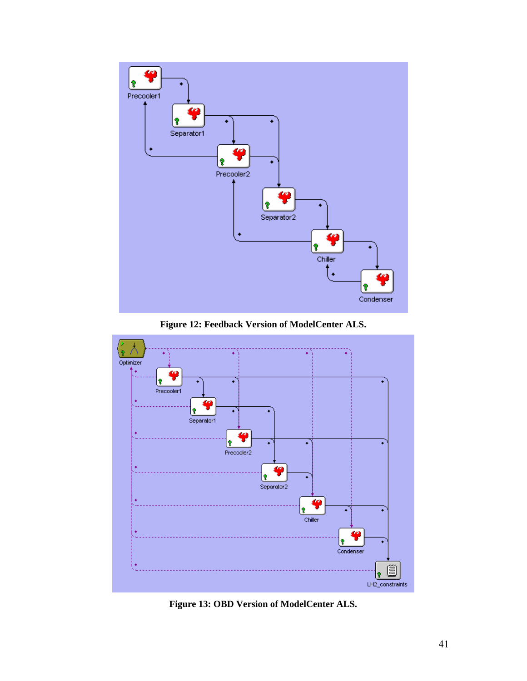





**Figure 13: OBD Version of ModelCenter ALS.**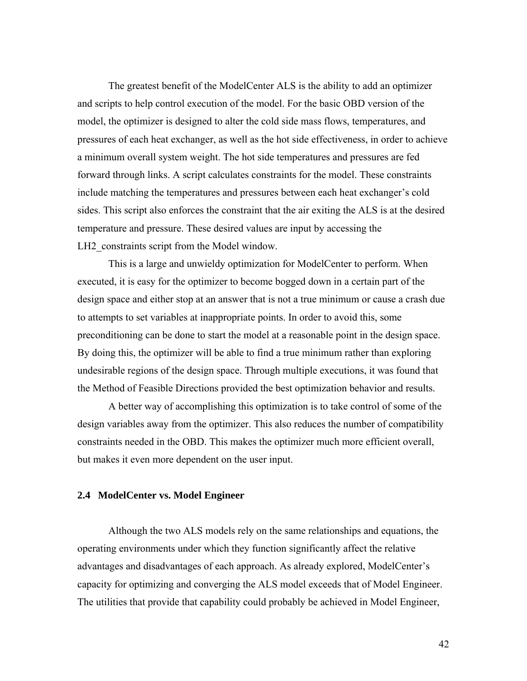The greatest benefit of the ModelCenter ALS is the ability to add an optimizer and scripts to help control execution of the model. For the basic OBD version of the model, the optimizer is designed to alter the cold side mass flows, temperatures, and pressures of each heat exchanger, as well as the hot side effectiveness, in order to achieve a minimum overall system weight. The hot side temperatures and pressures are fed forward through links. A script calculates constraints for the model. These constraints include matching the temperatures and pressures between each heat exchanger's cold sides. This script also enforces the constraint that the air exiting the ALS is at the desired temperature and pressure. These desired values are input by accessing the LH2 constraints script from the Model window.

This is a large and unwieldy optimization for ModelCenter to perform. When executed, it is easy for the optimizer to become bogged down in a certain part of the design space and either stop at an answer that is not a true minimum or cause a crash due to attempts to set variables at inappropriate points. In order to avoid this, some preconditioning can be done to start the model at a reasonable point in the design space. By doing this, the optimizer will be able to find a true minimum rather than exploring undesirable regions of the design space. Through multiple executions, it was found that the Method of Feasible Directions provided the best optimization behavior and results.

A better way of accomplishing this optimization is to take control of some of the design variables away from the optimizer. This also reduces the number of compatibility constraints needed in the OBD. This makes the optimizer much more efficient overall, but makes it even more dependent on the user input.

#### **2.4 ModelCenter vs. Model Engineer**

Although the two ALS models rely on the same relationships and equations, the operating environments under which they function significantly affect the relative advantages and disadvantages of each approach. As already explored, ModelCenter's capacity for optimizing and converging the ALS model exceeds that of Model Engineer. The utilities that provide that capability could probably be achieved in Model Engineer,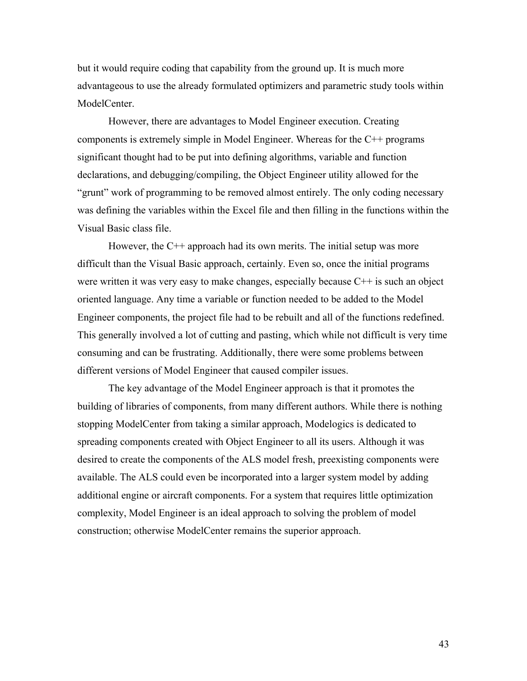but it would require coding that capability from the ground up. It is much more advantageous to use the already formulated optimizers and parametric study tools within ModelCenter.

However, there are advantages to Model Engineer execution. Creating components is extremely simple in Model Engineer. Whereas for the C++ programs significant thought had to be put into defining algorithms, variable and function declarations, and debugging/compiling, the Object Engineer utility allowed for the "grunt" work of programming to be removed almost entirely. The only coding necessary was defining the variables within the Excel file and then filling in the functions within the Visual Basic class file.

However, the  $C^{++}$  approach had its own merits. The initial setup was more difficult than the Visual Basic approach, certainly. Even so, once the initial programs were written it was very easy to make changes, especially because  $C++$  is such an object oriented language. Any time a variable or function needed to be added to the Model Engineer components, the project file had to be rebuilt and all of the functions redefined. This generally involved a lot of cutting and pasting, which while not difficult is very time consuming and can be frustrating. Additionally, there were some problems between different versions of Model Engineer that caused compiler issues.

The key advantage of the Model Engineer approach is that it promotes the building of libraries of components, from many different authors. While there is nothing stopping ModelCenter from taking a similar approach, Modelogics is dedicated to spreading components created with Object Engineer to all its users. Although it was desired to create the components of the ALS model fresh, preexisting components were available. The ALS could even be incorporated into a larger system model by adding additional engine or aircraft components. For a system that requires little optimization complexity, Model Engineer is an ideal approach to solving the problem of model construction; otherwise ModelCenter remains the superior approach.

43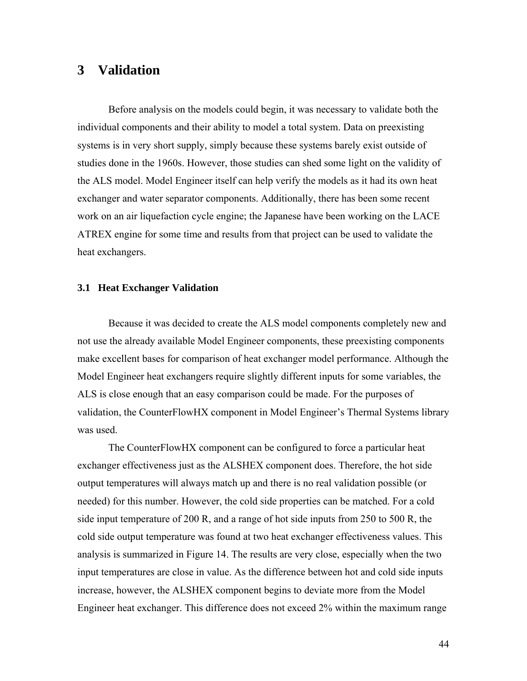# **3 Validation**

Before analysis on the models could begin, it was necessary to validate both the individual components and their ability to model a total system. Data on preexisting systems is in very short supply, simply because these systems barely exist outside of studies done in the 1960s. However, those studies can shed some light on the validity of the ALS model. Model Engineer itself can help verify the models as it had its own heat exchanger and water separator components. Additionally, there has been some recent work on an air liquefaction cycle engine; the Japanese have been working on the LACE ATREX engine for some time and results from that project can be used to validate the heat exchangers.

#### **3.1 Heat Exchanger Validation**

Because it was decided to create the ALS model components completely new and not use the already available Model Engineer components, these preexisting components make excellent bases for comparison of heat exchanger model performance. Although the Model Engineer heat exchangers require slightly different inputs for some variables, the ALS is close enough that an easy comparison could be made. For the purposes of validation, the CounterFlowHX component in Model Engineer's Thermal Systems library was used.

The CounterFlowHX component can be configured to force a particular heat exchanger effectiveness just as the ALSHEX component does. Therefore, the hot side output temperatures will always match up and there is no real validation possible (or needed) for this number. However, the cold side properties can be matched. For a cold side input temperature of 200 R, and a range of hot side inputs from 250 to 500 R, the cold side output temperature was found at two heat exchanger effectiveness values. This analysis is summarized in Figure 14. The results are very close, especially when the two input temperatures are close in value. As the difference between hot and cold side inputs increase, however, the ALSHEX component begins to deviate more from the Model Engineer heat exchanger. This difference does not exceed 2% within the maximum range

44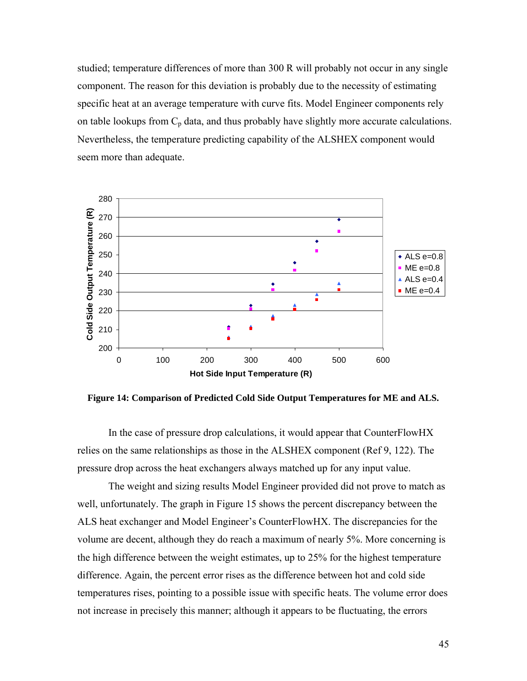studied; temperature differences of more than 300 R will probably not occur in any single component. The reason for this deviation is probably due to the necessity of estimating specific heat at an average temperature with curve fits. Model Engineer components rely on table lookups from  $C_p$  data, and thus probably have slightly more accurate calculations. Nevertheless, the temperature predicting capability of the ALSHEX component would seem more than adequate.



**Figure 14: Comparison of Predicted Cold Side Output Temperatures for ME and ALS.** 

In the case of pressure drop calculations, it would appear that CounterFlowHX relies on the same relationships as those in the ALSHEX component (Ref 9, 122). The pressure drop across the heat exchangers always matched up for any input value.

The weight and sizing results Model Engineer provided did not prove to match as well, unfortunately. The graph in Figure 15 shows the percent discrepancy between the ALS heat exchanger and Model Engineer's CounterFlowHX. The discrepancies for the volume are decent, although they do reach a maximum of nearly 5%. More concerning is the high difference between the weight estimates, up to 25% for the highest temperature difference. Again, the percent error rises as the difference between hot and cold side temperatures rises, pointing to a possible issue with specific heats. The volume error does not increase in precisely this manner; although it appears to be fluctuating, the errors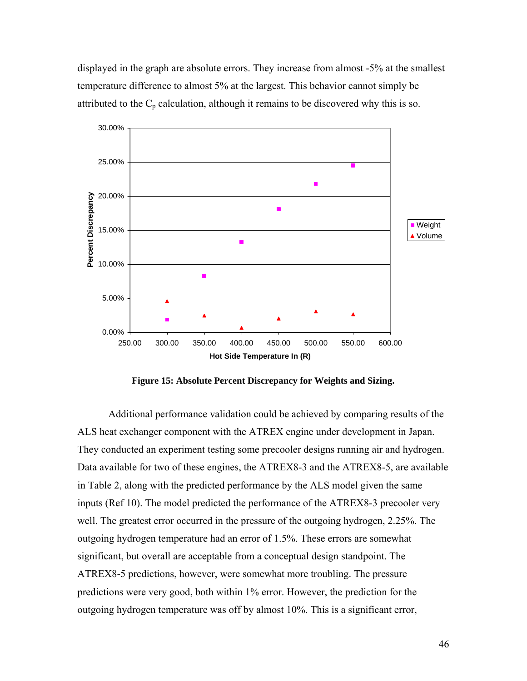displayed in the graph are absolute errors. They increase from almost -5% at the smallest temperature difference to almost 5% at the largest. This behavior cannot simply be attributed to the  $C_p$  calculation, although it remains to be discovered why this is so.



**Figure 15: Absolute Percent Discrepancy for Weights and Sizing.** 

Additional performance validation could be achieved by comparing results of the ALS heat exchanger component with the ATREX engine under development in Japan. They conducted an experiment testing some precooler designs running air and hydrogen. Data available for two of these engines, the ATREX8-3 and the ATREX8-5, are available in Table 2, along with the predicted performance by the ALS model given the same inputs (Ref 10). The model predicted the performance of the ATREX8-3 precooler very well. The greatest error occurred in the pressure of the outgoing hydrogen, 2.25%. The outgoing hydrogen temperature had an error of 1.5%. These errors are somewhat significant, but overall are acceptable from a conceptual design standpoint. The ATREX8-5 predictions, however, were somewhat more troubling. The pressure predictions were very good, both within 1% error. However, the prediction for the outgoing hydrogen temperature was off by almost 10%. This is a significant error,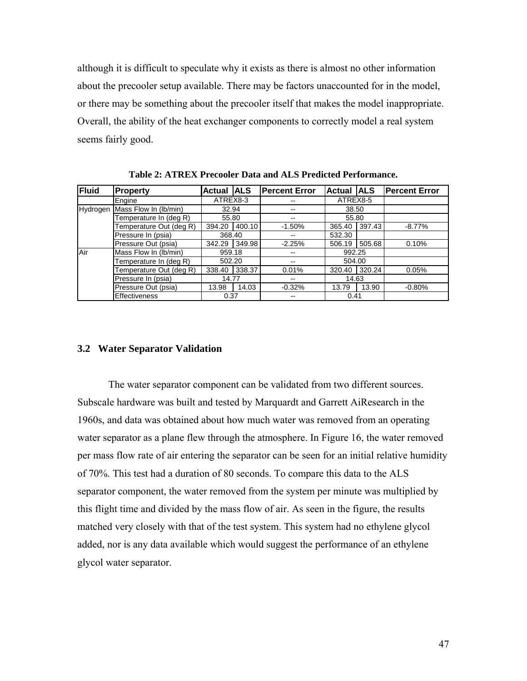although it is difficult to speculate why it exists as there is almost no other information about the precooler setup available. There may be factors unaccounted for in the model, or there may be something about the precooler itself that makes the model inappropriate. Overall, the ability of the heat exchanger components to correctly model a real system seems fairly good.

| <b>Fluid</b> | Property                | Actual   ALS |        | <b>Percent Error</b> | <b>Actual ALS</b> |        | <b>IPercent Error</b> |
|--------------|-------------------------|--------------|--------|----------------------|-------------------|--------|-----------------------|
|              | Engine                  | ATREX8-3     |        | --                   | ATREX8-5          |        |                       |
| Hydrogen     | Mass Flow In (lb/min)   | 32.94        |        | --                   | 38.50             |        |                       |
|              | Temperature In (deg R)  | 55.80        |        | --                   | 55.80             |        |                       |
|              | Temperature Out (deg R) | 394.20       | 400.10 | $-1.50%$             | 365.40            | 397.43 | $-8.77\%$             |
|              | Pressure In (psia)      | 368.40       |        | --                   | 532.30            |        |                       |
|              | Pressure Out (psia)     | 342.29       | 349.98 | $-2.25%$             | 506.19            | 505.68 | 0.10%                 |
| Air          | Mass Flow In (lb/min)   | 959.18       |        |                      | 992.25            |        |                       |
|              | Temperature In (deg R)  | 502.20       |        | --                   | 504.00            |        |                       |
|              | Temperature Out (deg R) | 338.40       | 338.37 | 0.01%                | 320.40            | 320.24 | 0.05%                 |
|              | Pressure In (psia)      | 14.77        |        | --                   | 14.63             |        |                       |
|              | Pressure Out (psia)     | 13.98        | 14.03  | $-0.32%$             | 13.79             | 13.90  | $-0.80%$              |
|              | <b>Effectiveness</b>    | 0.37         |        |                      | 0.41              |        |                       |

**Table 2: ATREX Precooler Data and ALS Predicted Performance.** 

#### **3.2 Water Separator Validation**

The water separator component can be validated from two different sources. Subscale hardware was built and tested by Marquardt and Garrett AiResearch in the 1960s, and data was obtained about how much water was removed from an operating water separator as a plane flew through the atmosphere. In Figure 16, the water removed per mass flow rate of air entering the separator can be seen for an initial relative humidity of 70%. This test had a duration of 80 seconds. To compare this data to the ALS separator component, the water removed from the system per minute was multiplied by this flight time and divided by the mass flow of air. As seen in the figure, the results matched very closely with that of the test system. This system had no ethylene glycol added, nor is any data available which would suggest the performance of an ethylene glycol water separator.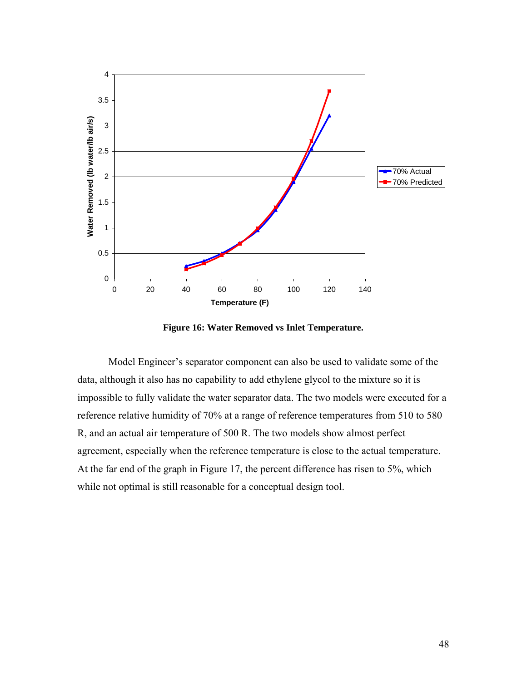

**Figure 16: Water Removed vs Inlet Temperature.** 

Model Engineer's separator component can also be used to validate some of the data, although it also has no capability to add ethylene glycol to the mixture so it is impossible to fully validate the water separator data. The two models were executed for a reference relative humidity of 70% at a range of reference temperatures from 510 to 580 R, and an actual air temperature of 500 R. The two models show almost perfect agreement, especially when the reference temperature is close to the actual temperature. At the far end of the graph in Figure 17, the percent difference has risen to 5%, which while not optimal is still reasonable for a conceptual design tool.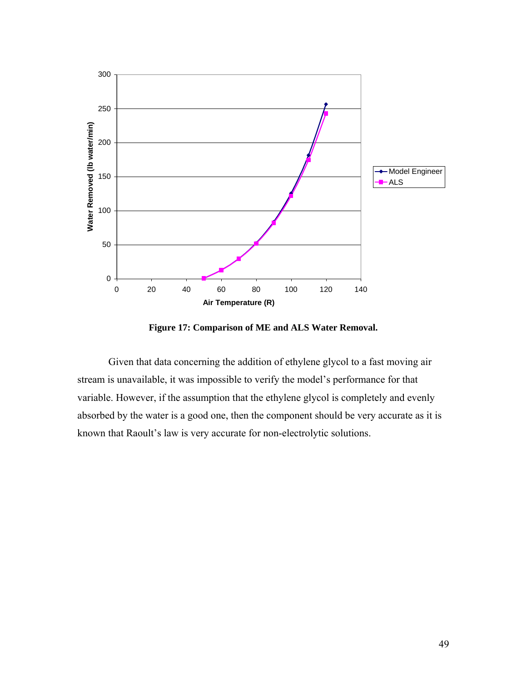

**Figure 17: Comparison of ME and ALS Water Removal.** 

Given that data concerning the addition of ethylene glycol to a fast moving air stream is unavailable, it was impossible to verify the model's performance for that variable. However, if the assumption that the ethylene glycol is completely and evenly absorbed by the water is a good one, then the component should be very accurate as it is known that Raoult's law is very accurate for non-electrolytic solutions.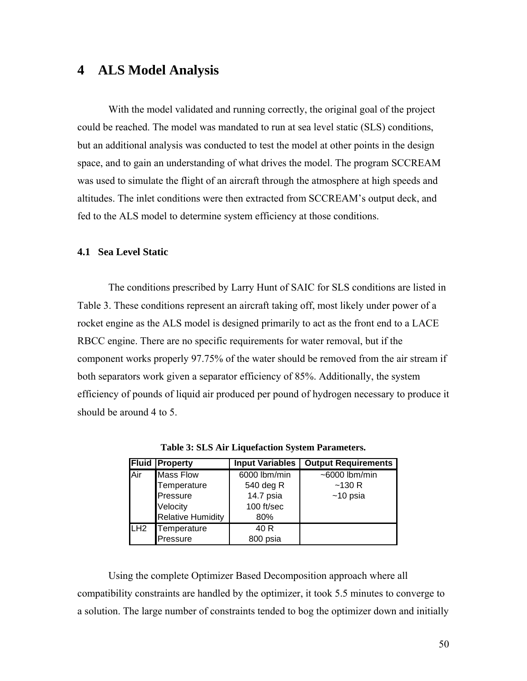# **4 ALS Model Analysis**

With the model validated and running correctly, the original goal of the project could be reached. The model was mandated to run at sea level static (SLS) conditions, but an additional analysis was conducted to test the model at other points in the design space, and to gain an understanding of what drives the model. The program SCCREAM was used to simulate the flight of an aircraft through the atmosphere at high speeds and altitudes. The inlet conditions were then extracted from SCCREAM's output deck, and fed to the ALS model to determine system efficiency at those conditions.

#### **4.1 Sea Level Static**

The conditions prescribed by Larry Hunt of SAIC for SLS conditions are listed in Table 3. These conditions represent an aircraft taking off, most likely under power of a rocket engine as the ALS model is designed primarily to act as the front end to a LACE RBCC engine. There are no specific requirements for water removal, but if the component works properly 97.75% of the water should be removed from the air stream if both separators work given a separator efficiency of 85%. Additionally, the system efficiency of pounds of liquid air produced per pound of hydrogen necessary to produce it should be around 4 to 5.

|                 | <b>Fluid Property</b>    | <b>Input Variables</b> | <b>Output Requirements</b> |
|-----------------|--------------------------|------------------------|----------------------------|
| Air             | <b>Mass Flow</b>         | 6000 lbm/min           | $~5000$ lbm/min            |
|                 | Temperature              | 540 deg R              | ~130R                      |
|                 | Pressure                 | 14.7 psia              | $~10$ psia                 |
|                 | Velocity                 | 100 ft/sec             |                            |
|                 | <b>Relative Humidity</b> | 80%                    |                            |
| LH <sub>2</sub> | Temperature              | 40 R                   |                            |
|                 | Pressure                 | 800 psia               |                            |

**Table 3: SLS Air Liquefaction System Parameters.**

Using the complete Optimizer Based Decomposition approach where all compatibility constraints are handled by the optimizer, it took 5.5 minutes to converge to a solution. The large number of constraints tended to bog the optimizer down and initially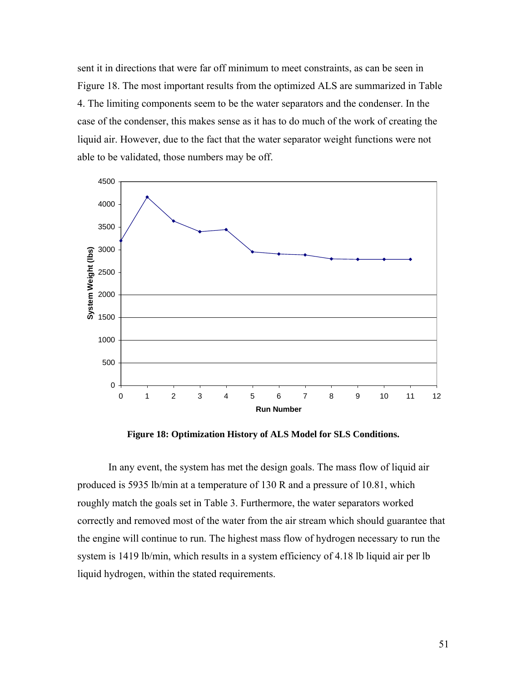sent it in directions that were far off minimum to meet constraints, as can be seen in Figure 18. The most important results from the optimized ALS are summarized in Table 4. The limiting components seem to be the water separators and the condenser. In the case of the condenser, this makes sense as it has to do much of the work of creating the liquid air. However, due to the fact that the water separator weight functions were not able to be validated, those numbers may be off.



**Figure 18: Optimization History of ALS Model for SLS Conditions.** 

In any event, the system has met the design goals. The mass flow of liquid air produced is 5935 lb/min at a temperature of 130 R and a pressure of 10.81, which roughly match the goals set in Table 3. Furthermore, the water separators worked correctly and removed most of the water from the air stream which should guarantee that the engine will continue to run. The highest mass flow of hydrogen necessary to run the system is 1419 lb/min, which results in a system efficiency of 4.18 lb liquid air per lb liquid hydrogen, within the stated requirements.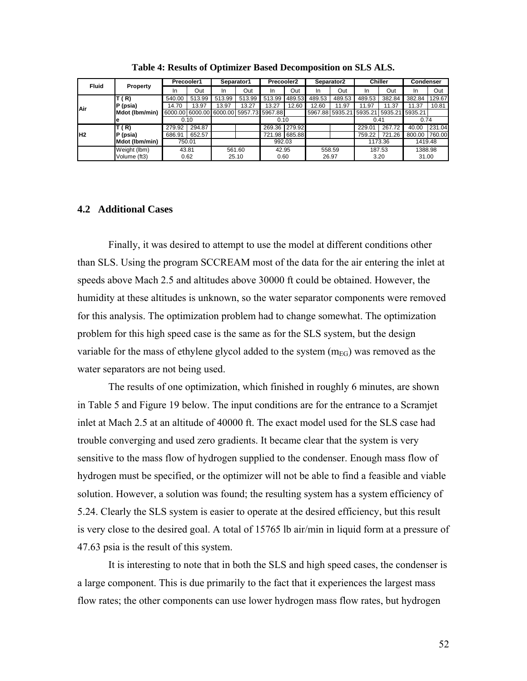| <b>Fluid</b> |                 | Precooler1 |        | Separator1 |                                         | Precooler2    |        | Separator2      |        | <b>Chiller</b> |                  | <b>Condenser</b> |        |
|--------------|-----------------|------------|--------|------------|-----------------------------------------|---------------|--------|-----------------|--------|----------------|------------------|------------------|--------|
|              | <b>Property</b> | In         | Out    | In         | Out                                     | In            | Out    | In              | Out    | In             | Out              | In               | Out    |
|              | T ( R)          | 540.00     | 513.99 | 513.99     | 513.99                                  | 513.99        | 489.53 | 489.53          | 489.53 | 489.53         | 382.84           | 382.84           | 129.67 |
| Air          | P (psia)        | 14.70      | 13.97  | 13.97      | 13.27                                   | 13.27         | 12.60  | 12.60           | 11.97  | 11.97          | 11.37            | 11.37            | 10.81  |
|              | Mdot (Ibm/min)  |            |        |            | 6000.00 6000.00 6000.00 5957.73 5967.88 |               |        | 5967.88 5935.21 |        | 5935.21        | 15935.2115935.21 |                  |        |
|              | е               |            | 0.10   |            |                                         | 0.10          |        |                 |        | 0.41           |                  | 0.74             |        |
|              | T ( R)          | 279.92     | 294.87 |            |                                         | 269.36 279.92 |        |                 |        | 229.01         | 267.72           | 40.00            | 231.04 |
| lH2          | P (psia)        | 686.91     | 652.57 |            |                                         | 721.98        | 685.88 |                 |        | 759.22         | 721.26           | 800.00           | 760.00 |
|              | Mdot (Ibm/min)  |            | 750.01 |            |                                         | 992.03        |        |                 |        |                | 1173.36          | 1419.48          |        |
|              | Weight (lbm)    |            | 43.81  |            | 561.60                                  | 42.95         |        | 558.59          |        |                | 187.53           | 1388.98          |        |
|              | Volume (ft3)    |            | 0.62   |            | 25.10                                   | 0.60          |        | 26.97           |        |                | 3.20             | 31.00            |        |

**Table 4: Results of Optimizer Based Decomposition on SLS ALS.** 

#### **4.2 Additional Cases**

Finally, it was desired to attempt to use the model at different conditions other than SLS. Using the program SCCREAM most of the data for the air entering the inlet at speeds above Mach 2.5 and altitudes above 30000 ft could be obtained. However, the humidity at these altitudes is unknown, so the water separator components were removed for this analysis. The optimization problem had to change somewhat. The optimization problem for this high speed case is the same as for the SLS system, but the design variable for the mass of ethylene glycol added to the system  $(m_{EG})$  was removed as the water separators are not being used.

The results of one optimization, which finished in roughly 6 minutes, are shown in Table 5 and Figure 19 below. The input conditions are for the entrance to a Scramjet inlet at Mach 2.5 at an altitude of 40000 ft. The exact model used for the SLS case had trouble converging and used zero gradients. It became clear that the system is very sensitive to the mass flow of hydrogen supplied to the condenser. Enough mass flow of hydrogen must be specified, or the optimizer will not be able to find a feasible and viable solution. However, a solution was found; the resulting system has a system efficiency of 5.24. Clearly the SLS system is easier to operate at the desired efficiency, but this result is very close to the desired goal. A total of 15765 lb air/min in liquid form at a pressure of 47.63 psia is the result of this system.

It is interesting to note that in both the SLS and high speed cases, the condenser is a large component. This is due primarily to the fact that it experiences the largest mass flow rates; the other components can use lower hydrogen mass flow rates, but hydrogen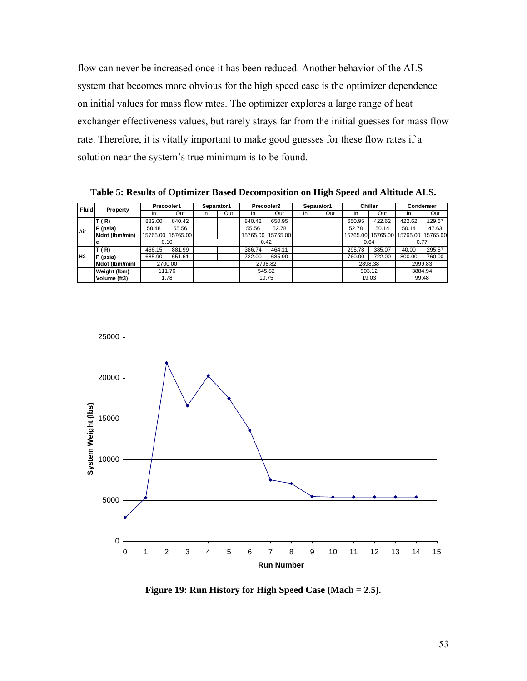flow can never be increased once it has been reduced. Another behavior of the ALS system that becomes more obvious for the high speed case is the optimizer dependence on initial values for mass flow rates. The optimizer explores a large range of heat exchanger effectiveness values, but rarely strays far from the initial guesses for mass flow rate. Therefore, it is vitally important to make good guesses for these flow rates if a solution near the system's true minimum is to be found.

**Table 5: Results of Optimizer Based Decomposition on High Speed and Altitude ALS.** 

| <b>Fluid</b> | Property       | Precooler1 |          | Separator1 |     | Precooler2 |                   | Separator1 |     | Chiller |                   | Condenser         |         |
|--------------|----------------|------------|----------|------------|-----|------------|-------------------|------------|-----|---------|-------------------|-------------------|---------|
|              |                | <b>In</b>  | Out      | In         | Out | ın         | Out               | In         | Out | In.     | Out               | <b>In</b>         | Out     |
|              | T(R)           | 882.00     | 840.42   |            |     | 840.42     | 650.95            |            |     | 650.95  | 422.62            | 422.62            | 129.67  |
| Air          | $P$ (psia)     | 58.48      | 55.56    |            |     | 55.56      | 52.78             |            |     | 52.78   | 50.14             | 50.14             | 47.63   |
|              | Mdot (Ibm/min) | 15765.00   | 15765.00 |            |     |            | 15765.00 15765.00 |            |     |         | 15765.00 15765.00 | 15765.00 15765.00 |         |
| Iе           |                | 0.10       |          |            |     | 0.42       |                   |            |     |         | 0.64              | 0.77              |         |
|              | T(R)           | 466.15     | 881.99   |            |     | 386.74     | 464.11            |            |     | 295.78  | 385.07            | 40.00             | 295.57  |
| lн2          | $P$ (psia)     | 685.90     | 651.61   |            |     | 722.00     | 685.90            |            |     | 760.00  | 722.00            | 800.00            | 760.00  |
|              | Mdot (Ibm/min) |            | 2700.00  |            |     |            | 2798.82           |            |     |         | 2898.38           |                   | 2999.83 |
|              | Weight (lbm)   |            | 111.76   |            |     |            | 545.82            |            |     |         | 903.12            |                   | 3884.94 |
|              | Volume (ft3)   |            | 1.78     |            |     |            | 10.75             |            |     |         | 19.03             | 99.48             |         |



**Figure 19: Run History for High Speed Case (Mach = 2.5).**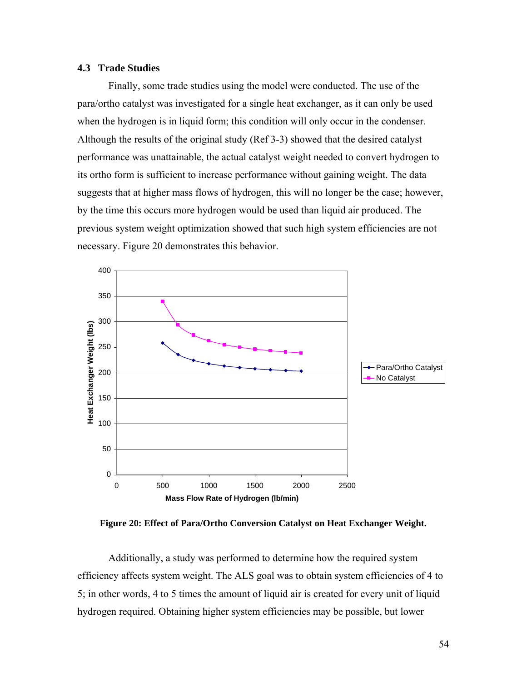## **4.3 Trade Studies**

Finally, some trade studies using the model were conducted. The use of the para/ortho catalyst was investigated for a single heat exchanger, as it can only be used when the hydrogen is in liquid form; this condition will only occur in the condenser. Although the results of the original study (Ref 3-3) showed that the desired catalyst performance was unattainable, the actual catalyst weight needed to convert hydrogen to its ortho form is sufficient to increase performance without gaining weight. The data suggests that at higher mass flows of hydrogen, this will no longer be the case; however, by the time this occurs more hydrogen would be used than liquid air produced. The previous system weight optimization showed that such high system efficiencies are not necessary. Figure 20 demonstrates this behavior.



**Figure 20: Effect of Para/Ortho Conversion Catalyst on Heat Exchanger Weight.** 

Additionally, a study was performed to determine how the required system efficiency affects system weight. The ALS goal was to obtain system efficiencies of 4 to 5; in other words, 4 to 5 times the amount of liquid air is created for every unit of liquid hydrogen required. Obtaining higher system efficiencies may be possible, but lower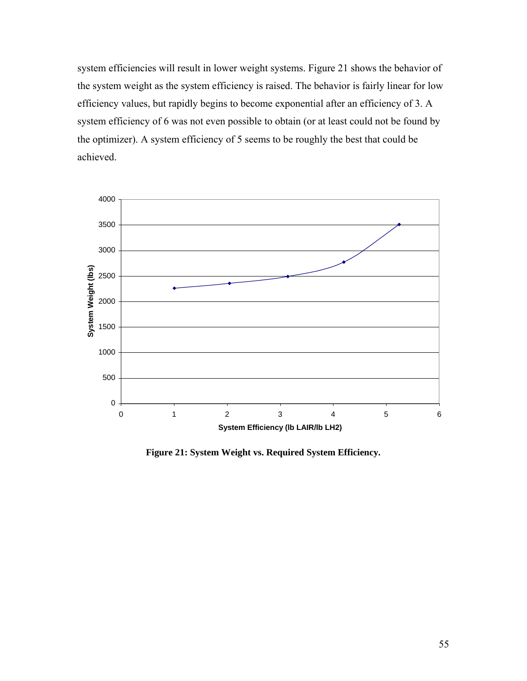system efficiencies will result in lower weight systems. Figure 21 shows the behavior of the system weight as the system efficiency is raised. The behavior is fairly linear for low efficiency values, but rapidly begins to become exponential after an efficiency of 3. A system efficiency of 6 was not even possible to obtain (or at least could not be found by the optimizer). A system efficiency of 5 seems to be roughly the best that could be achieved.



**Figure 21: System Weight vs. Required System Efficiency.**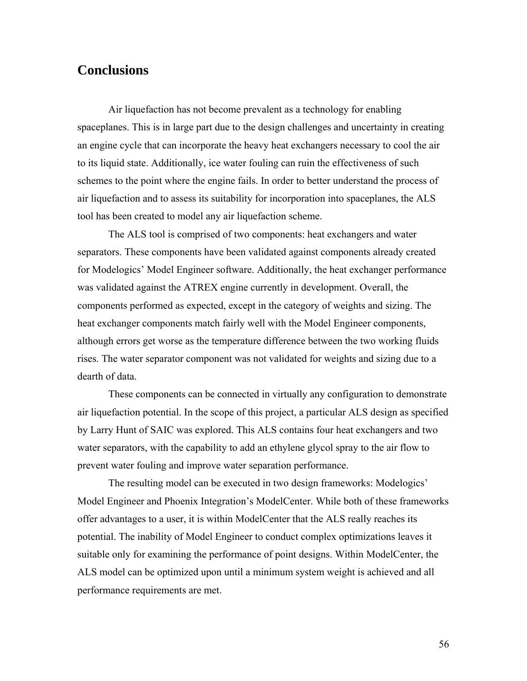# **Conclusions**

Air liquefaction has not become prevalent as a technology for enabling spaceplanes. This is in large part due to the design challenges and uncertainty in creating an engine cycle that can incorporate the heavy heat exchangers necessary to cool the air to its liquid state. Additionally, ice water fouling can ruin the effectiveness of such schemes to the point where the engine fails. In order to better understand the process of air liquefaction and to assess its suitability for incorporation into spaceplanes, the ALS tool has been created to model any air liquefaction scheme.

The ALS tool is comprised of two components: heat exchangers and water separators. These components have been validated against components already created for Modelogics' Model Engineer software. Additionally, the heat exchanger performance was validated against the ATREX engine currently in development. Overall, the components performed as expected, except in the category of weights and sizing. The heat exchanger components match fairly well with the Model Engineer components, although errors get worse as the temperature difference between the two working fluids rises. The water separator component was not validated for weights and sizing due to a dearth of data.

These components can be connected in virtually any configuration to demonstrate air liquefaction potential. In the scope of this project, a particular ALS design as specified by Larry Hunt of SAIC was explored. This ALS contains four heat exchangers and two water separators, with the capability to add an ethylene glycol spray to the air flow to prevent water fouling and improve water separation performance.

The resulting model can be executed in two design frameworks: Modelogics' Model Engineer and Phoenix Integration's ModelCenter. While both of these frameworks offer advantages to a user, it is within ModelCenter that the ALS really reaches its potential. The inability of Model Engineer to conduct complex optimizations leaves it suitable only for examining the performance of point designs. Within ModelCenter, the ALS model can be optimized upon until a minimum system weight is achieved and all performance requirements are met.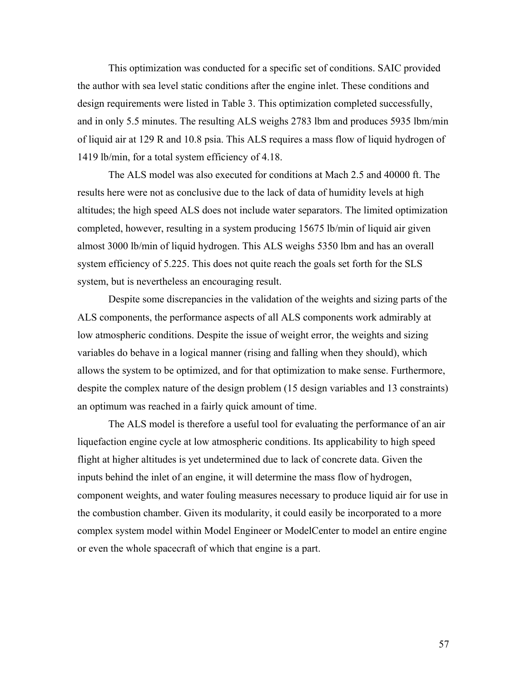This optimization was conducted for a specific set of conditions. SAIC provided the author with sea level static conditions after the engine inlet. These conditions and design requirements were listed in Table 3. This optimization completed successfully, and in only 5.5 minutes. The resulting ALS weighs 2783 lbm and produces 5935 lbm/min of liquid air at 129 R and 10.8 psia. This ALS requires a mass flow of liquid hydrogen of 1419 lb/min, for a total system efficiency of 4.18.

The ALS model was also executed for conditions at Mach 2.5 and 40000 ft. The results here were not as conclusive due to the lack of data of humidity levels at high altitudes; the high speed ALS does not include water separators. The limited optimization completed, however, resulting in a system producing 15675 lb/min of liquid air given almost 3000 lb/min of liquid hydrogen. This ALS weighs 5350 lbm and has an overall system efficiency of 5.225. This does not quite reach the goals set forth for the SLS system, but is nevertheless an encouraging result.

Despite some discrepancies in the validation of the weights and sizing parts of the ALS components, the performance aspects of all ALS components work admirably at low atmospheric conditions. Despite the issue of weight error, the weights and sizing variables do behave in a logical manner (rising and falling when they should), which allows the system to be optimized, and for that optimization to make sense. Furthermore, despite the complex nature of the design problem (15 design variables and 13 constraints) an optimum was reached in a fairly quick amount of time.

The ALS model is therefore a useful tool for evaluating the performance of an air liquefaction engine cycle at low atmospheric conditions. Its applicability to high speed flight at higher altitudes is yet undetermined due to lack of concrete data. Given the inputs behind the inlet of an engine, it will determine the mass flow of hydrogen, component weights, and water fouling measures necessary to produce liquid air for use in the combustion chamber. Given its modularity, it could easily be incorporated to a more complex system model within Model Engineer or ModelCenter to model an entire engine or even the whole spacecraft of which that engine is a part.

57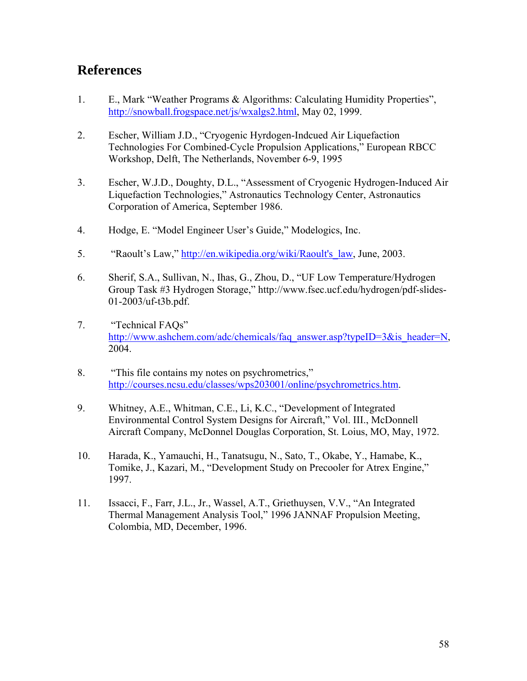# **References**

- 1. E., Mark "Weather Programs & Algorithms: Calculating Humidity Properties", http://snowball.frogspace.net/js/wxalgs2.html, May 02, 1999.
- 2. Escher, William J.D., "Cryogenic Hyrdogen-Indcued Air Liquefaction Technologies For Combined-Cycle Propulsion Applications," European RBCC Workshop, Delft, The Netherlands, November 6-9, 1995
- 3. Escher, W.J.D., Doughty, D.L., "Assessment of Cryogenic Hydrogen-Induced Air Liquefaction Technologies," Astronautics Technology Center, Astronautics Corporation of America, September 1986.
- 4. Hodge, E. "Model Engineer User's Guide," Modelogics, Inc.
- 5. "Raoult's Law," http://en.wikipedia.org/wiki/Raoult's law, June, 2003.
- 6. Sherif, S.A., Sullivan, N., Ihas, G., Zhou, D., "UF Low Temperature/Hydrogen Group Task #3 Hydrogen Storage," http://www.fsec.ucf.edu/hydrogen/pdf-slides-01-2003/uf-t3b.pdf.
- 7. "Technical FAQs" http://www.ashchem.com/adc/chemicals/faq\_answer.asp?typeID=3&is\_header=N, 2004.
- 8. "This file contains my notes on psychrometrics," http://courses.ncsu.edu/classes/wps203001/online/psychrometrics.htm.
- 9. Whitney, A.E., Whitman, C.E., Li, K.C., "Development of Integrated Environmental Control System Designs for Aircraft," Vol. III., McDonnell Aircraft Company, McDonnel Douglas Corporation, St. Loius, MO, May, 1972.
- 10. Harada, K., Yamauchi, H., Tanatsugu, N., Sato, T., Okabe, Y., Hamabe, K., Tomike, J., Kazari, M., "Development Study on Precooler for Atrex Engine," 1997.
- 11. Issacci, F., Farr, J.L., Jr., Wassel, A.T., Griethuysen, V.V., "An Integrated Thermal Management Analysis Tool," 1996 JANNAF Propulsion Meeting, Colombia, MD, December, 1996.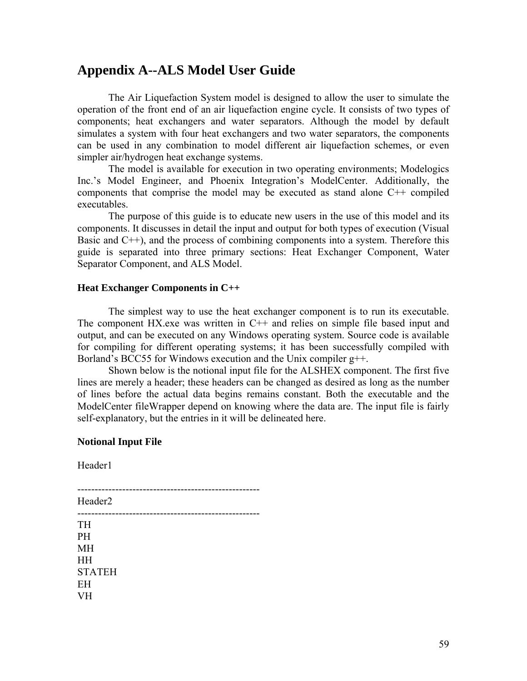# **Appendix A--ALS Model User Guide**

The Air Liquefaction System model is designed to allow the user to simulate the operation of the front end of an air liquefaction engine cycle. It consists of two types of components; heat exchangers and water separators. Although the model by default simulates a system with four heat exchangers and two water separators, the components can be used in any combination to model different air liquefaction schemes, or even simpler air/hydrogen heat exchange systems.

The model is available for execution in two operating environments; Modelogics Inc.'s Model Engineer, and Phoenix Integration's ModelCenter. Additionally, the components that comprise the model may be executed as stand alone C++ compiled executables.

The purpose of this guide is to educate new users in the use of this model and its components. It discusses in detail the input and output for both types of execution (Visual Basic and  $C_{++}$ ), and the process of combining components into a system. Therefore this guide is separated into three primary sections: Heat Exchanger Component, Water Separator Component, and ALS Model.

#### **Heat Exchanger Components in C++**

The simplest way to use the heat exchanger component is to run its executable. The component HX.exe was written in C++ and relies on simple file based input and output, and can be executed on any Windows operating system. Source code is available for compiling for different operating systems; it has been successfully compiled with Borland's BCC55 for Windows execution and the Unix compiler g++.

Shown below is the notional input file for the ALSHEX component. The first five lines are merely a header; these headers can be changed as desired as long as the number of lines before the actual data begins remains constant. Both the executable and the ModelCenter fileWrapper depend on knowing where the data are. The input file is fairly self-explanatory, but the entries in it will be delineated here.

#### **Notional Input File**

Header1

----------------------------------------------------- Header2 ----------------------------------------------------- TH PH MH HH STATEH EH VH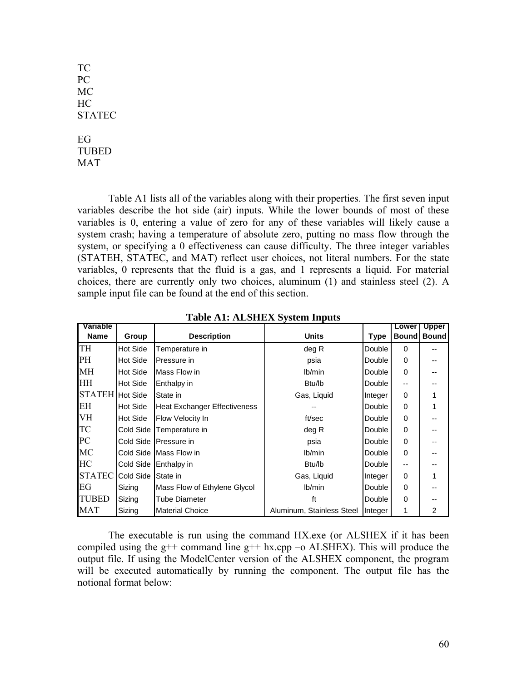TC PC MC HC **STATEC** EG TUBED MAT

Table A1 lists all of the variables along with their properties. The first seven input variables describe the hot side (air) inputs. While the lower bounds of most of these variables is 0, entering a value of zero for any of these variables will likely cause a system crash; having a temperature of absolute zero, putting no mass flow through the system, or specifying a 0 effectiveness can cause difficulty. The three integer variables (STATEH, STATEC, and MAT) reflect user choices, not literal numbers. For the state variables, 0 represents that the fluid is a gas, and 1 represents a liquid. For material choices, there are currently only two choices, aluminum (1) and stainless steel (2). A sample input file can be found at the end of this section.

| Variable               |           |                                     |                           |               | <b>Lower</b> | <b>Upper</b>   |
|------------------------|-----------|-------------------------------------|---------------------------|---------------|--------------|----------------|
| <b>Name</b>            | Group     | <b>Description</b>                  | <b>Units</b>              | <b>Type</b>   | <b>Bound</b> | <b>Bound</b>   |
| TH                     | Hot Side  | Temperature in                      | deg R                     | Double        | $\Omega$     |                |
| PH                     | Hot Side  | Pressure in                         | psia                      | Double        | 0            |                |
| MH                     | Hot Side  | Mass Flow in                        | lb/min                    | Double        | $\Omega$     |                |
| <b>HH</b>              | Hot Side  | Enthalpy in                         | Btu/lb                    | <b>Double</b> | --           |                |
| <b>STATEH</b> Hot Side |           | State in                            | Gas, Liquid               | Integer       | 0            |                |
| IЕH                    | Hot Side  | <b>Heat Exchanger Effectiveness</b> |                           | <b>Double</b> | 0            |                |
| <b>VH</b>              | Hot Side  | Flow Velocity In                    | ft/sec                    | Double        | $\Omega$     |                |
| <b>TC</b>              | Cold Side | Temperature in                      | deg R                     | <b>Double</b> | 0            |                |
| PC                     |           | Cold Side Pressure in               | psia                      | Double        | 0            |                |
| <b>MC</b>              |           | Cold Side Mass Flow in              | lb/min                    | Double        | 0            |                |
| <b>HC</b>              | Cold Side | Enthalpy in                         | Btu/lb                    | <b>Double</b> | --           |                |
| <b>STATEC</b>          | Cold Side | State in                            | Gas, Liquid               | Integer       | 0            |                |
| EG                     | Sizing    | Mass Flow of Ethylene Glycol        | lb/min                    | Double        | 0            |                |
| TUBED                  | Sizing    | Tube Diameter                       | ft                        | Double        | 0            |                |
| <b>MAT</b>             | Sizing    | <b>Material Choice</b>              | Aluminum, Stainless Steel | Integer       | 1            | $\overline{c}$ |

**Table A1: ALSHEX System Inputs** 

The executable is run using the command HX.exe (or ALSHEX if it has been compiled using the  $g++$  command line  $g++$  hx.cpp –o ALSHEX). This will produce the output file. If using the ModelCenter version of the ALSHEX component, the program will be executed automatically by running the component. The output file has the notional format below: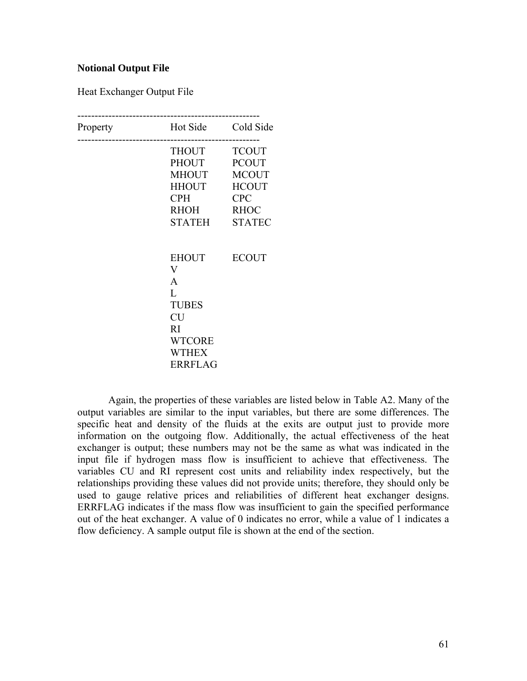#### **Notional Output File**

Heat Exchanger Output File

| Property | Hot Side                                                                                                             | Cold Side                                                                                                  |
|----------|----------------------------------------------------------------------------------------------------------------------|------------------------------------------------------------------------------------------------------------|
|          | THOUT<br>PHOUT<br>MHOUT<br>HHOUT<br><b>CPH</b><br>RHOH<br>STATEH                                                     | <b>TCOUT</b><br><b>PCOUT</b><br><b>MCOUT</b><br><b>HCOUT</b><br><b>CPC</b><br><b>RHOC</b><br><b>STATEC</b> |
|          | EHOUT<br>$\rm V$<br>A<br>$\mathbf{L}$<br><b>TUBES</b><br><b>CU</b><br>RI<br><b>WTCORE</b><br><b>WTHEX</b><br>ERRFLAG | <b>ECOUT</b>                                                                                               |

Again, the properties of these variables are listed below in Table A2. Many of the output variables are similar to the input variables, but there are some differences. The specific heat and density of the fluids at the exits are output just to provide more information on the outgoing flow. Additionally, the actual effectiveness of the heat exchanger is output; these numbers may not be the same as what was indicated in the input file if hydrogen mass flow is insufficient to achieve that effectiveness. The variables CU and RI represent cost units and reliability index respectively, but the relationships providing these values did not provide units; therefore, they should only be used to gauge relative prices and reliabilities of different heat exchanger designs. ERRFLAG indicates if the mass flow was insufficient to gain the specified performance out of the heat exchanger. A value of 0 indicates no error, while a value of 1 indicates a flow deficiency. A sample output file is shown at the end of the section.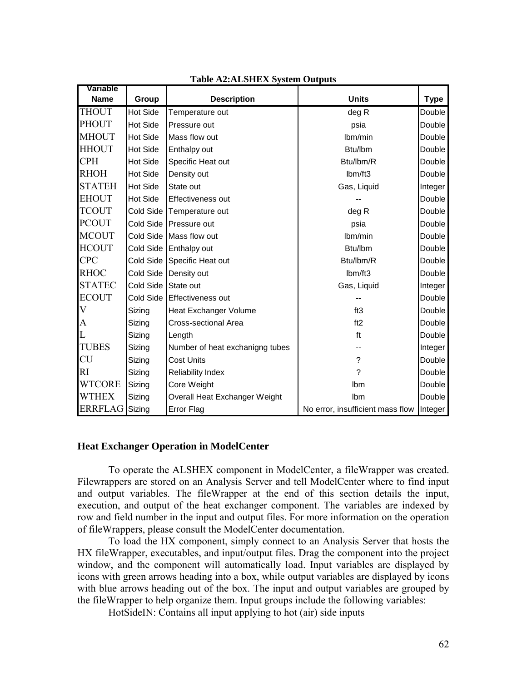| Variable       |                 |                                 |                                  |             |
|----------------|-----------------|---------------------------------|----------------------------------|-------------|
| <b>Name</b>    | Group           | <b>Description</b>              | <b>Units</b>                     | <b>Type</b> |
| <b>THOUT</b>   | <b>Hot Side</b> | Temperature out                 | deg R                            | Double      |
| <b>PHOUT</b>   | <b>Hot Side</b> | Pressure out                    | psia                             | Double      |
| <b>MHOUT</b>   | <b>Hot Side</b> | Mass flow out                   | Ibm/min                          | Double      |
| <b>HHOUT</b>   | <b>Hot Side</b> | Enthalpy out                    | Btu/lbm                          | Double      |
| CPH            | Hot Side        | Specific Heat out               | Btu/lbm/R                        | Double      |
| <b>RHOH</b>    | <b>Hot Side</b> | Density out                     | Ibm/ft3                          | Double      |
| <b>STATEH</b>  | <b>Hot Side</b> | State out                       | Gas, Liquid                      | Integer     |
| <b>EHOUT</b>   | <b>Hot Side</b> | Effectiveness out               |                                  | Double      |
| TCOUT          |                 | Cold Side Temperature out       | deg R                            | Double      |
| <b>PCOUT</b>   |                 | Cold Side Pressure out          | psia                             | Double      |
| <b>MCOUT</b>   |                 | Cold Side Mass flow out         | Ibm/min                          | Double      |
| <b>HCOUT</b>   | Cold Side       | Enthalpy out                    | Btu/lbm                          | Double      |
| <b>CPC</b>     | Cold Side       | Specific Heat out               | Btu/lbm/R                        | Double      |
| <b>RHOC</b>    |                 | Cold Side Density out           | Ibm/ft3                          | Double      |
| <b>STATEC</b>  | Cold Side       | State out                       | Gas, Liquid                      | Integer     |
| <b>ECOUT</b>   | Cold Side       | Effectiveness out               |                                  | Double      |
| V              | Sizing          | <b>Heat Exchanger Volume</b>    | ft3                              | Double      |
| A              | Sizing          | Cross-sectional Area            | ft2                              | Double      |
| L              | Sizing          | Length                          | ft                               | Double      |
| <b>TUBES</b>   | Sizing          | Number of heat exchanigng tubes |                                  | Integer     |
| <b>CU</b>      | Sizing          | <b>Cost Units</b>               | ?                                | Double      |
| RI             | Sizing          | <b>Reliability Index</b>        | ?                                | Double      |
| <b>WTCORE</b>  | Sizing          | Core Weight                     | Ibm                              | Double      |
| WTHEX          | Sizing          | Overall Heat Exchanger Weight   | Ibm                              | Double      |
| <b>ERRFLAG</b> | Sizing          | <b>Error Flag</b>               | No error, insufficient mass flow | Integer     |

#### **Table A2:ALSHEX System Outputs**

#### **Heat Exchanger Operation in ModelCenter**

To operate the ALSHEX component in ModelCenter, a fileWrapper was created. Filewrappers are stored on an Analysis Server and tell ModelCenter where to find input and output variables. The fileWrapper at the end of this section details the input, execution, and output of the heat exchanger component. The variables are indexed by row and field number in the input and output files. For more information on the operation of fileWrappers, please consult the ModelCenter documentation.

To load the HX component, simply connect to an Analysis Server that hosts the HX fileWrapper, executables, and input/output files. Drag the component into the project window, and the component will automatically load. Input variables are displayed by icons with green arrows heading into a box, while output variables are displayed by icons with blue arrows heading out of the box. The input and output variables are grouped by the fileWrapper to help organize them. Input groups include the following variables:

HotSideIN: Contains all input applying to hot (air) side inputs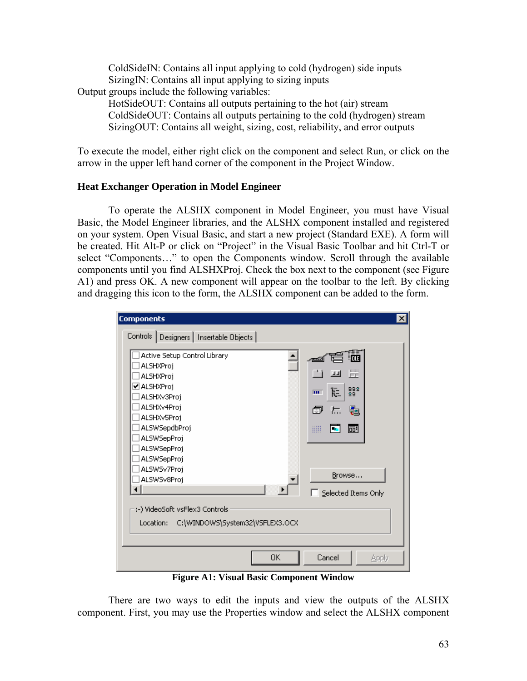ColdSideIN: Contains all input applying to cold (hydrogen) side inputs SizingIN: Contains all input applying to sizing inputs Output groups include the following variables:

HotSideOUT: Contains all outputs pertaining to the hot (air) stream ColdSideOUT: Contains all outputs pertaining to the cold (hydrogen) stream SizingOUT: Contains all weight, sizing, cost, reliability, and error outputs

To execute the model, either right click on the component and select Run, or click on the arrow in the upper left hand corner of the component in the Project Window.

# **Heat Exchanger Operation in Model Engineer**

To operate the ALSHX component in Model Engineer, you must have Visual Basic, the Model Engineer libraries, and the ALSHX component installed and registered on your system. Open Visual Basic, and start a new project (Standard EXE). A form will be created. Hit Alt-P or click on "Project" in the Visual Basic Toolbar and hit Ctrl-T or select "Components…" to open the Components window. Scroll through the available components until you find ALSHXProj. Check the box next to the component (see Figure A1) and press OK. A new component will appear on the toolbar to the left. By clicking and dragging this icon to the form, the ALSHX component can be added to the form.

| <b>Components</b>                                                                                                                   | $\vert x \vert$                                                               |
|-------------------------------------------------------------------------------------------------------------------------------------|-------------------------------------------------------------------------------|
| Controls   Designers   Insertable Objects                                                                                           |                                                                               |
| Active Setup Control Library<br>ALSHXProj<br>ALSHXProj<br>☑ ALSHXProj<br>ALSHXv3Proj<br>ALSHXv4Proj<br>ALSHXv5Proj<br>ALSWSepdbProj | <b>HOLE</b><br>置<br>i i<br>回<br>982<br>雇<br>m.<br>ð<br>题<br>标。<br>₩<br>祠<br>m |
| ALSWSepProj<br><b>ALSWSepProj</b><br><b>ALSWSepProj</b><br>ALSWSv7Proj<br>ALSWSv8Proj<br>:-) VideoSoft vsFlex3 Controls.            | Browse<br>Selected Items Only                                                 |
| C:\WINDOWS\System32\VSFLEX3.OCX<br>Location:<br>OΚ                                                                                  | Cancel<br>Apply                                                               |

**Figure A1: Visual Basic Component Window** 

There are two ways to edit the inputs and view the outputs of the ALSHX component. First, you may use the Properties window and select the ALSHX component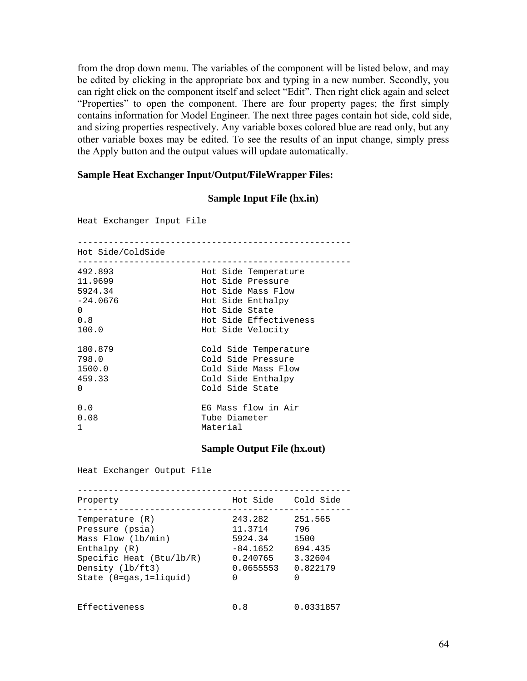from the drop down menu. The variables of the component will be listed below, and may be edited by clicking in the appropriate box and typing in a new number. Secondly, you can right click on the component itself and select "Edit". Then right click again and select "Properties" to open the component. There are four property pages; the first simply contains information for Model Engineer. The next three pages contain hot side, cold side, and sizing properties respectively. Any variable boxes colored blue are read only, but any other variable boxes may be edited. To see the results of an input change, simply press the Apply button and the output values will update automatically.

#### **Sample Heat Exchanger Input/Output/FileWrapper Files:**

## **Sample Input File (hx.in)**

Heat Exchanger Input File ----------------------------------------------------- Hot Side/ColdSide ----------------------------------------------------- 492.893 Hot Side Temperature 11.9699 Hot Side Pressure 5924.34 Hot Side Mass Flow Hot Side Enthalpy 0 Hot Side State 0.8 Hot Side Effectiveness Hot Side Velocity 180.879 Cold Side Temperature 798.0 Cold Side Pressure 1500.0 Cold Side Mass Flow 459.33 Cold Side Enthalpy 0 Cold Side State 0.0 EG Mass flow in Air 0.08 Tube Diameter 1 Material **Sample Output File (hx.out)** 

Heat Exchanger Output File

| Property                                                                                                                                                      | Hot Side                                                                  | Cold Side                                                     |
|---------------------------------------------------------------------------------------------------------------------------------------------------------------|---------------------------------------------------------------------------|---------------------------------------------------------------|
| Temperature (R)<br>Pressure (psia)<br>Mass Flow (lb/min)<br>Enthalpy $(R)$<br>Specific Heat $(Btu/lb/R)$<br>Density (lb/ft3)<br>State $(0 = qas, 1 = liquid)$ | 243.282<br>11.3714<br>5924.34<br>$-84.1652$<br>0.240765<br>0.0655553<br>0 | 251.565<br>796<br>1500<br>694.435<br>3.32604<br>0.822179<br>∩ |
| Effectiveness                                                                                                                                                 | 0.8                                                                       | 0.0331857                                                     |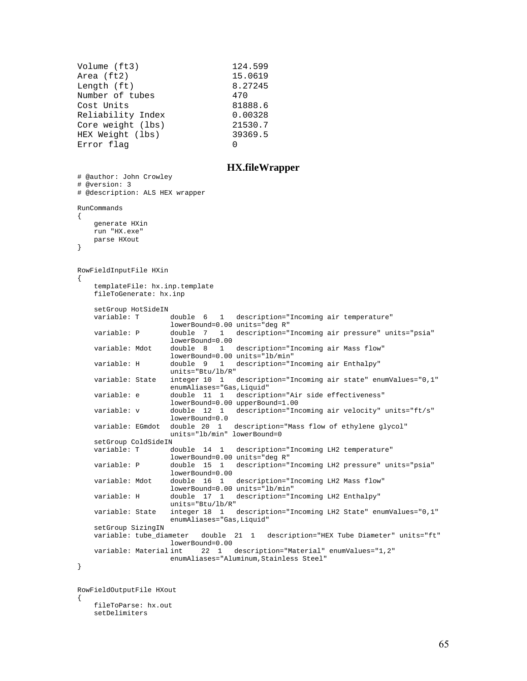| Volume (ft3)      | 124.599 |
|-------------------|---------|
| Area (ft2)        | 15.0619 |
| Length (ft)       | 8.27245 |
| Number of tubes   | 470     |
| Cost Units        | 81888.6 |
| Reliability Index | 0.00328 |
| Core weight (lbs) | 21530.7 |
| HEX Weight (lbs)  | 39369.5 |
| Error flag        | 0       |
|                   |         |

#### **HX.fileWrapper**

```
# @author: John Crowley 
# @version: 3 
# @description: ALS HEX wrapper 
RunCommands 
{ 
     generate HXin 
     run "HX.exe" 
     parse HXout 
} 
RowFieldInputFile HXin 
{ 
     templateFile: hx.inp.template 
     fileToGenerate: hx.inp 
    setGroup HotSideIN<br>variable: T
                      double 6 1 description="Incoming air temperature"
                       lowerBound=0.00 units="deg R" 
    variable: P double 7 1 description="Incoming air pressure" units="psia" 
                       lowerBound=0.00 
    variable: Mdot double 8 1 description="Incoming air Mass flow" 
                      lowerBound=0.00 units="lb/min" 
    variable: H double 9 1 description="Incoming air Enthalpy" 
                      units="Btu/lb/R" 
    variable: State integer 10 1 description="Incoming air state" enumValues="0,1" 
                      enumAliases="Gas,Liquid" 
    variable: e double 11 1 description="Air side effectiveness" 
                      lowerBound=0.00 upperBound=1.00<br>double 12 1 description="In
    variable: v double 12 1 description="Incoming air velocity" units="ft/s" 
                      lowerBound=0.0 
    variable: EGmdot double 20 1 description="Mass flow of ethylene glycol" 
                      units="lb/min" lowerBound=0
    setGroup ColdSideIN<br>variable: T d
                      double 14 1 description="Incoming LH2 temperature"
                       lowerBound=0.00 units="deg R" 
    variable: P double 15 1 description="Incoming LH2 pressure" units="psia" 
                      lowerBound=0.00<br>double 16 1
    variable: Mdot double 16 1 description="Incoming LH2 Mass flow" 
                      lowerBound=0.00 units="lb/min" 
    variable: H double 17 1 description="Incoming LH2 Enthalpy" 
                      units="Btu/lb/R" 
    variable: State integer 18 1 description="Incoming LH2 State" enumValues="0,1" 
                      enumAliases="Gas,Liquid" 
    setGroup SizingIN<br>variable: tube_diameter
                             double 21 1 description="HEX Tube Diameter" units="ft"
                      lowerBound=0.00 
    variable: Material int 22 1 description="Material" enumValues="1,2" 
                      enumAliases="Aluminum, Stainless Steel"
}
```
RowFieldOutputFile HXout { fileToParse: hx.out setDelimiters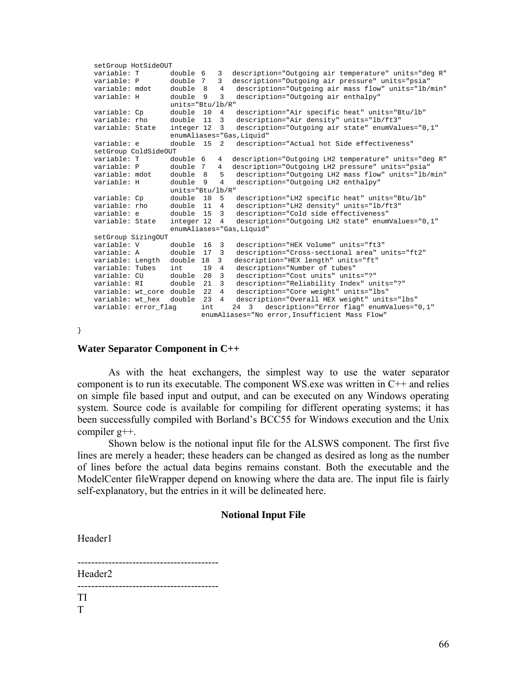```
 setGroup HotSideOUT 
 variable: T double 6 3 description="Outgoing air temperature" units="deg R" 
 variable: P double 7 3 description="Outgoing air pressure" units="psia" 
    variable: mdot double 8 4 description="Outgoing air mass flow" units="lb/min" 
    variable: H double 9 3 description="Outgoing air enthalpy" 
                    units="Btu/lb/R" 
   variable: Cp double 10 4 description="Air specific heat" units="Btu/lb"<br>variable: rho double 11 3 description="Air density" units="lb/ft3"
                   double 11 3 description="Air density" units="lb/ft3"
    variable: State integer 12 3 description="Outgoing air state" enumValues="0,1" 
                     enumAliases="Gas,Liquid" 
 variable: e double 15 2 description="Actual hot Side effectiveness" 
    setGroup ColdSideOUT 
 variable: T double 6 4 description="Outgoing LH2 temperature" units="deg R" 
 variable: P double 7 4 description="Outgoing LH2 pressure" units="psia" 
   variable: mdot double 8 5 description="Outgoing LH2 mass flow" units="lb/min"<br>variable: H double 9 4 description="Outgoing LH2 enthalpy"
                                   description="Outgoing LH2 enthalpy"
                    units="Btu/lb/R" 
    variable: Cp double 10 5 description="LH2 specific heat" units="Btu/lb" 
    variable: rho double 11 4 description="LH2 density" units="lb/ft3" 
 variable: e double 15 3 description="Cold side effectiveness" 
 variable: State integer 12 4 description="Outgoing LH2 state" enumValues="0,1" 
                    enumAliases="Gas,Liquid" 
    setGroup SizingOUT 
    variable: V double 16 3 description="HEX Volume" units="ft3" 
 variable: A double 17 3 description="Cross-sectional area" units="ft2" 
 variable: Length double 18 3 description="HEX length" units="ft" 
 variable: Tubes int 19 4 description="Number of tubes" 
 variable: CU double 20 3 description="Cost units" units="?" 
    variable: RI double 21 3 description="Reliability Index" units="?" 
 variable: wt_core double 22 4 description="Core weight" units="lbs" 
 variable: wt_hex double 23 4 description="Overall HEX weight" units="lbs" 
 variable: error_flag int 24 3 description="Error flag" enumValues="0,1" 
                           enumAliases="No error,Insufficient Mass Flow"
```

```
}
```
#### **Water Separator Component in C++**

As with the heat exchangers, the simplest way to use the water separator component is to run its executable. The component WS.exe was written in C++ and relies on simple file based input and output, and can be executed on any Windows operating system. Source code is available for compiling for different operating systems; it has been successfully compiled with Borland's BCC55 for Windows execution and the Unix compiler g++.

Shown below is the notional input file for the ALSWS component. The first five lines are merely a header; these headers can be changed as desired as long as the number of lines before the actual data begins remains constant. Both the executable and the ModelCenter fileWrapper depend on knowing where the data are. The input file is fairly self-explanatory, but the entries in it will be delineated here.

### **Notional Input File**

Header1

-----------------------------------------

Header2 ----------------------------------------- TI

T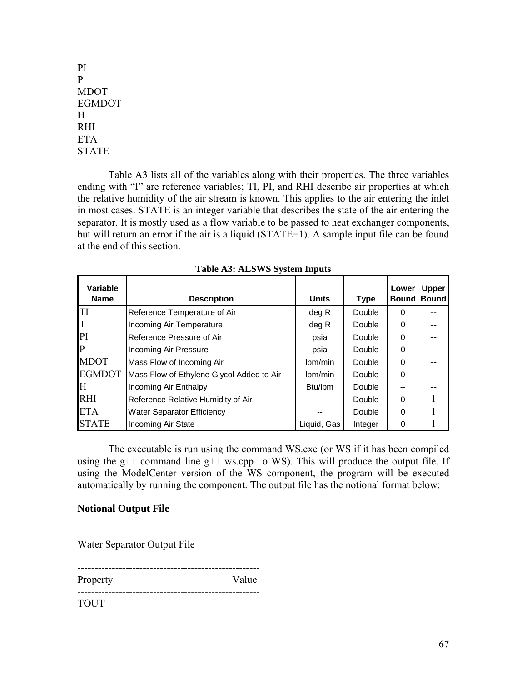PI P MDOT EGMDOT H RHI ETA STATE

Table A3 lists all of the variables along with their properties. The three variables ending with "I" are reference variables; TI, PI, and RHI describe air properties at which the relative humidity of the air stream is known. This applies to the air entering the inlet in most cases. STATE is an integer variable that describes the state of the air entering the separator. It is mostly used as a flow variable to be passed to heat exchanger components, but will return an error if the air is a liquid (STATE=1). A sample input file can be found at the end of this section.

| <b>Variable</b><br><b>Name</b> | <b>Description</b>                        | <b>Units</b>         | <b>Type</b> | Lower<br><b>Bound</b> | <b>Upper</b><br><b>Bound</b> |
|--------------------------------|-------------------------------------------|----------------------|-------------|-----------------------|------------------------------|
| <b>TI</b>                      | Reference Temperature of Air              | deg R                | Double      | $\Omega$              |                              |
| IТ                             | Incoming Air Temperature                  | deg R                | Double      | $\Omega$              |                              |
| PI                             | Reference Pressure of Air                 | psia                 | Double      | $\Omega$              |                              |
| $\mathbf{P}$                   | Incoming Air Pressure                     | psia                 | Double      | $\Omega$              |                              |
| <b>MDOT</b>                    | Mass Flow of Incoming Air                 | lbm/min              | Double      | $\Omega$              |                              |
| <b>EGMDOT</b>                  | Mass Flow of Ethylene Glycol Added to Air | lbm/min              | Double      | $\Omega$              |                              |
| H                              | Incoming Air Enthalpy                     | B <sub>tu</sub> /lbm | Double      |                       |                              |
| <b>RHI</b>                     | Reference Relative Humidity of Air        |                      | Double      | $\Omega$              |                              |
| <b>ETA</b>                     | <b>Water Separator Efficiency</b>         |                      | Double      | 0                     |                              |
| <b>STATE</b>                   | Incoming Air State                        | Liquid, Gas          | Integer     | 0                     |                              |

**Table A3: ALSWS System Inputs** 

The executable is run using the command WS.exe (or WS if it has been compiled using the  $g++$  command line  $g++$  ws.cpp –o WS). This will produce the output file. If using the ModelCenter version of the WS component, the program will be executed automatically by running the component. The output file has the notional format below:

## **Notional Output File**

Water Separator Output File

----------------------------------------------------- Property **Value** -----------------------------------------------------

TOUT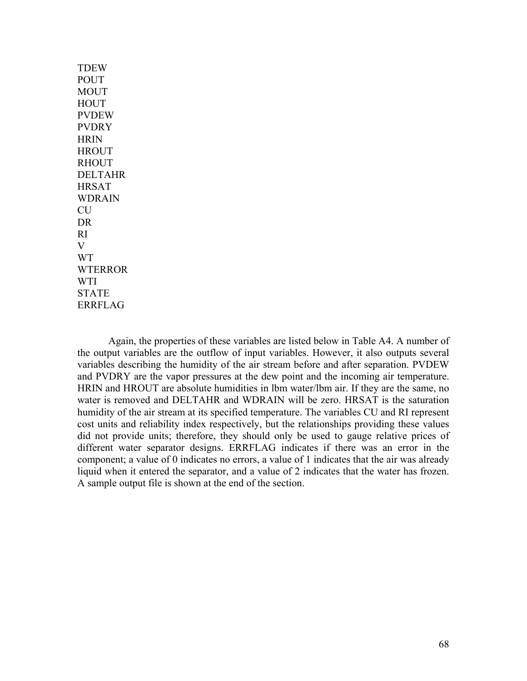| <b>TDEW</b>    |
|----------------|
| <b>POUT</b>    |
| <b>MOUT</b>    |
| <b>HOUT</b>    |
| <b>PVDEW</b>   |
| <b>PVDRY</b>   |
| <b>HRIN</b>    |
| <b>HROUT</b>   |
| <b>RHOUT</b>   |
| <b>DELTAHR</b> |
| <b>HRSAT</b>   |
| <b>WDRAIN</b>  |
| <b>CU</b>      |
| <b>DR</b>      |
| RI             |
| V              |
| <b>WT</b>      |
| <b>WTERROR</b> |
| <b>WTI</b>     |
| <b>STATE</b>   |
| <b>ERRFLAG</b> |

Again, the properties of these variables are listed below in Table A4. A number of the output variables are the outflow of input variables. However, it also outputs several variables describing the humidity of the air stream before and after separation. PVDEW and PVDRY are the vapor pressures at the dew point and the incoming air temperature. HRIN and HROUT are absolute humidities in lbm water/lbm air. If they are the same, no water is removed and DELTAHR and WDRAIN will be zero. HRSAT is the saturation humidity of the air stream at its specified temperature. The variables CU and RI represent cost units and reliability index respectively, but the relationships providing these values did not provide units; therefore, they should only be used to gauge relative prices of different water separator designs. ERRFLAG indicates if there was an error in the component; a value of 0 indicates no errors, a value of 1 indicates that the air was already liquid when it entered the separator, and a value of 2 indicates that the water has frozen. A sample output file is shown at the end of the section.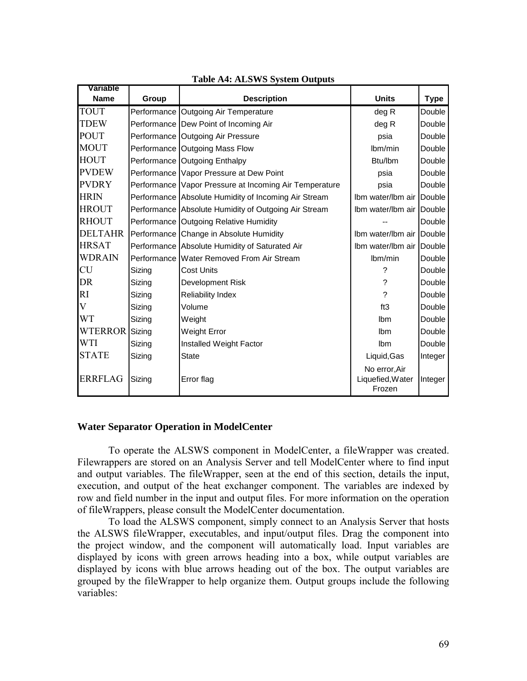| Variable       |               |                                                        |                                   |             |
|----------------|---------------|--------------------------------------------------------|-----------------------------------|-------------|
| <b>Name</b>    | Group         | <b>Description</b>                                     | <b>Units</b>                      | <b>Type</b> |
| TOUT           |               | Performance Outgoing Air Temperature                   | deg R                             | Double      |
| <b>TDEW</b>    |               | Performance Dew Point of Incoming Air                  | deg R                             | Double      |
| <b>POUT</b>    |               | Performance Outgoing Air Pressure                      | psia                              | Double      |
| <b>MOUT</b>    |               | Performance Outgoing Mass Flow                         | Ibm/min                           | Double      |
| <b>HOUT</b>    |               | Performance Outgoing Enthalpy                          | Btu/lbm                           | Double      |
| <b>PVDEW</b>   |               | Performance Vapor Pressure at Dew Point                | psia                              | Double      |
| <b>PVDRY</b>   |               | Performance Vapor Pressure at Incoming Air Temperature | psia                              | Double      |
| <b>HRIN</b>    |               | Performance Absolute Humidity of Incoming Air Stream   | Ibm water/Ibm air                 | Double      |
| <b>HROUT</b>   |               | Performance Absolute Humidity of Outgoing Air Stream   | Ibm water/Ibm air Double          |             |
| <b>RHOUT</b>   |               | Performance Outgoing Relative Humidity                 |                                   | Double      |
| <b>DELTAHR</b> | Performance I | Change in Absolute Humidity                            | Ibm water/Ibm air                 | Double      |
| <b>HRSAT</b>   | Performance   | Absolute Humidity of Saturated Air                     | Ibm water/Ibm air                 | Double      |
| <b>WDRAIN</b>  |               | Performance Water Removed From Air Stream              | Ibm/min                           | Double      |
| <b>CU</b>      | Sizing        | <b>Cost Units</b>                                      | ?                                 | Double      |
| <b>DR</b>      | Sizing        | Development Risk                                       | ?                                 | Double      |
| RI             | Sizing        | <b>Reliability Index</b>                               | $\gamma$                          | Double      |
| V              | Sizing        | Volume                                                 | ft3                               | Double      |
| <b>WT</b>      | Sizing        | Weight                                                 | Ibm                               | Double      |
| <b>WTERROR</b> | Sizing        | <b>Weight Error</b>                                    | Ibm                               | Double      |
| WTI            | Sizing        | Installed Weight Factor                                | Ibm                               | Double      |
| <b>STATE</b>   | Sizing        | <b>State</b>                                           | Liquid, Gas                       | Integer     |
| <b>ERRFLAG</b> | Sizing        | Error flag                                             | No error, Air<br>Liquefied, Water | Integer     |
|                |               |                                                        | Frozen                            |             |

#### **Table A4: ALSWS System Outputs**

#### **Water Separator Operation in ModelCenter**

To operate the ALSWS component in ModelCenter, a fileWrapper was created. Filewrappers are stored on an Analysis Server and tell ModelCenter where to find input and output variables. The fileWrapper, seen at the end of this section, details the input, execution, and output of the heat exchanger component. The variables are indexed by row and field number in the input and output files. For more information on the operation of fileWrappers, please consult the ModelCenter documentation.

To load the ALSWS component, simply connect to an Analysis Server that hosts the ALSWS fileWrapper, executables, and input/output files. Drag the component into the project window, and the component will automatically load. Input variables are displayed by icons with green arrows heading into a box, while output variables are displayed by icons with blue arrows heading out of the box. The output variables are grouped by the fileWrapper to help organize them. Output groups include the following variables: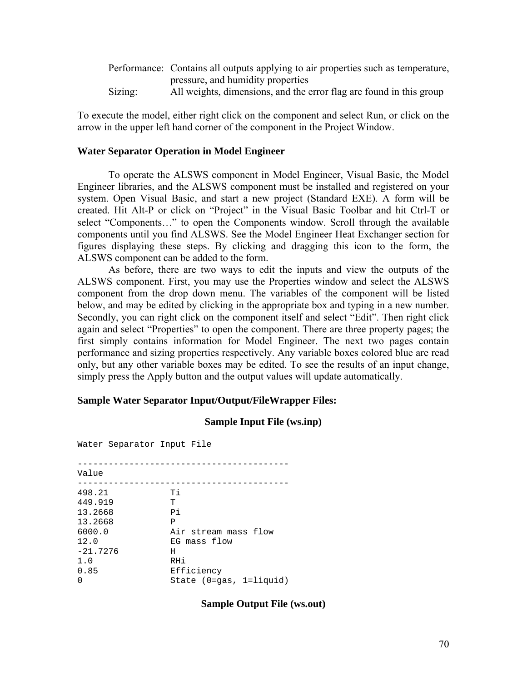|         | Performance: Contains all outputs applying to air properties such as temperature, |
|---------|-----------------------------------------------------------------------------------|
|         | pressure, and humidity properties                                                 |
| Sizing: | All weights, dimensions, and the error flag are found in this group               |

To execute the model, either right click on the component and select Run, or click on the arrow in the upper left hand corner of the component in the Project Window.

## **Water Separator Operation in Model Engineer**

To operate the ALSWS component in Model Engineer, Visual Basic, the Model Engineer libraries, and the ALSWS component must be installed and registered on your system. Open Visual Basic, and start a new project (Standard EXE). A form will be created. Hit Alt-P or click on "Project" in the Visual Basic Toolbar and hit Ctrl-T or select "Components..." to open the Components window. Scroll through the available components until you find ALSWS. See the Model Engineer Heat Exchanger section for figures displaying these steps. By clicking and dragging this icon to the form, the ALSWS component can be added to the form.

As before, there are two ways to edit the inputs and view the outputs of the ALSWS component. First, you may use the Properties window and select the ALSWS component from the drop down menu. The variables of the component will be listed below, and may be edited by clicking in the appropriate box and typing in a new number. Secondly, you can right click on the component itself and select "Edit". Then right click again and select "Properties" to open the component. There are three property pages; the first simply contains information for Model Engineer. The next two pages contain performance and sizing properties respectively. Any variable boxes colored blue are read only, but any other variable boxes may be edited. To see the results of an input change, simply press the Apply button and the output values will update automatically.

#### **Sample Water Separator Input/Output/FileWrapper Files:**

#### **Sample Input File (ws.inp)**

Water Separator Input File ----------------------------------------- Value ----------------------------------------- 498.21 Ti 449.919 T 13.2668 Pi 13.2668 P<br>6000.0 Ai Air stream mass flow 12.0 EG mass flow -21.7276 H 1.0 RHi 0.85 Efficiency 0 State (0=gas, 1=liquid)

**Sample Output File (ws.out)**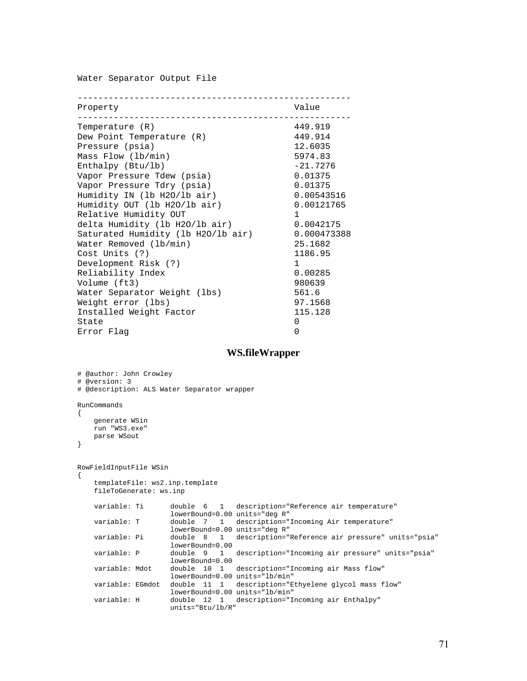Water Separator Output File

| Property                           | Value        |
|------------------------------------|--------------|
| Temperature (R)                    | 449.919      |
| Dew Point Temperature (R)          | 449.914      |
| Pressure (psia)                    | 12.6035      |
| Mass Flow (lb/min)                 | 5974.83      |
| Enthalpy $(Btu/lb)$                | $-21.7276$   |
| Vapor Pressure Tdew (psia)         | 0.01375      |
| Vapor Pressure Tdry (psia)         | 0.01375      |
| Humidity IN (lb H2O/lb air)        | 0.00543516   |
| Humidity OUT (lb H2O/lb air)       | 0.00121765   |
| Relative Humidity OUT              | $\mathbf{1}$ |
| delta Humidity (lb H2O/lb air)     | 0.0042175    |
| Saturated Humidity (lb H2O/lb air) | 0.000473388  |
| Water Removed (lb/min)             | 25.1682      |
| Cost Units (?)                     | 1186.95      |
| Development Risk (?)               | $\mathbf{1}$ |
| Reliability Index                  | 0.00285      |
| Volume (ft3)                       | 980639       |
| Water Separator Weight (lbs)       | 561.6        |
| Weight error (lbs)                 | 97.1568      |
| Installed Weight Factor            | 115.128      |
| State                              | 0            |
| Error Flag                         | $\Omega$     |

### **WS.fileWrapper**

```
# @author: John Crowley 
# @version: 3 
# @description: ALS Water Separator wrapper 
RunCommands 
{ 
    generate WSin 
    run "WS3.exe" 
    parse WSout 
} 
RowFieldInputFile WSin 
{ 
    templateFile: ws2.inp.template 
    fileToGenerate: ws.inp 
   variable: Ti double 6 1 description="Reference air temperature" 
                     lowerBound=0.00 units="deg R" 
   variable: T double 7 1 description="Incoming Air temperature" 
                     lowerBound=0.00 units="deg R" 
   variable: Pi double 8 1 description="Reference air pressure" units="psia" 
                     lowerBound=0.00 
   variable: P double 9 1 description="Incoming air pressure" units="psia" 
                     lowerBound=0.00 
   variable: Mdot double 10 1 description="Incoming air Mass flow" 
                     lowerBound=0.00 units="lb/min" 
   variable: EGmdot double 11 1 description="Ethyelene glycol mass flow" 
                     lowerBound=0.00 units="lb/min" 
   variable: H double 12 1 description="Incoming air Enthalpy" 
                     units="Btu/lb/R"
```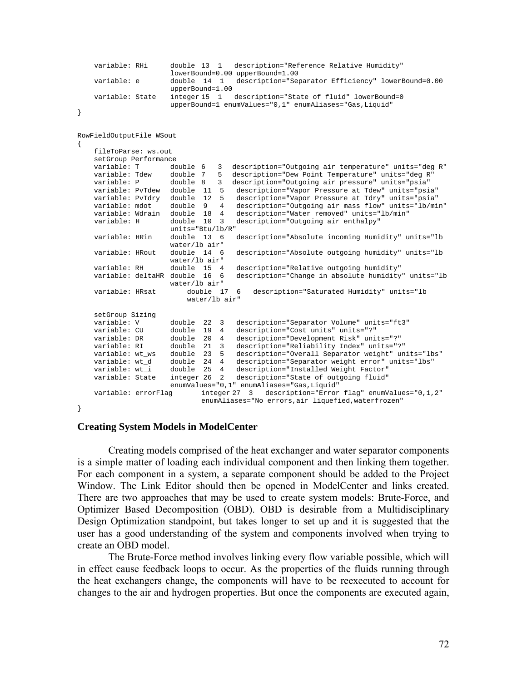```
variable: RHi double 13 1 description="Reference Relative Humidity" 
                       lowerBound=0.00 upperBound=1.00 
    variable: e double 14 1 description="Separator Efficiency" lowerBound=0.00 
                       upperBound=1.00 
    variable: State integer 15 1 description="State of fluid" lowerBound=0 
                       upperBound=1 enumValues="0,1" enumAliases="Gas,Liquid" 
} 
RowFieldOutputFile WSout 
{ 
     fileToParse: ws.out 
   setGroup Performance<br>variable: T do
                     double 6 3 description="Outgoing air temperature" units="deg R"
 variable: Tdew double 7 5 description="Dew Point Temperature" units="deg R" 
 variable: P double 8 3 description="Outgoing air pressure" units="psia" 
 variable: PvTdew double 11 5 description="Vapor Pressure at Tdew" units="psia" 
    variable: PvTdry double 12 5 description="Vapor Pressure at Tdry" units="psia" 
   variable: mdot double 9 4 description="Outgoing air mass flow" units="lb/min"<br>variable: Wirain double 18 4 description="Water removed" units="lb/min"<br>variable: H double 10 3 description="Outgoing air enthalpy"
                                        description="Water removed" units="lb/min"
                                       description="Outgoing air enthalpy"
                       units="Btu/lb/R"<br>double 13 6
    variable: HRin double 13 6 description="Absolute incoming Humidity" units="lb 
    water/lb air"<br>variable: HRout double 14 6
                                        description="Absolute outgoing humidity" units="lb
                       water/lb air"<br>double 15 4
    variable: RH double 15 4 description="Relative outgoing humidity"<br>variable: deltaHR double 16 6 description="Change in absolute humidity
                                        description="Change in absolute humidity" units="lb
                       water/lb air"<br>double 17 6
    variable: HRsat double 17 6 description="Saturated Humidity" units="lb 
                           water/lb air" 
   setGroup Sizing<br>variable: V
 variable: V double 22 3 description="Separator Volume" units="ft3" 
 variable: CU double 19 4 description="Cost units" units="?" 
    variable: DR double 20 4 description="Development Risk" units="?" 
 variable: RI double 21 3 description="Reliability Index" units="?" 
 variable: wt_ws double 23 5 description="Overall Separator weight" units="lbs" 
 variable: wt_d double 24 4 description="Separator weight error" units="lbs" 
    variable: wt_i double 25 4 description="Installed Weight Factor" 
    variable: State integer 26 2 description="State of outgoing fluid" 
                       enumValues="0,1" enumAliases="Gas,Liquid" 
    variable: errorFlag integer 27 3 description="Error flag" enumValues="0,1,2" 
                               enumAliases="No errors,air liquefied,waterfrozen" 
}
```
## **Creating System Models in ModelCenter**

Creating models comprised of the heat exchanger and water separator components is a simple matter of loading each individual component and then linking them together. For each component in a system, a separate component should be added to the Project Window. The Link Editor should then be opened in ModelCenter and links created. There are two approaches that may be used to create system models: Brute-Force, and Optimizer Based Decomposition (OBD). OBD is desirable from a Multidisciplinary Design Optimization standpoint, but takes longer to set up and it is suggested that the user has a good understanding of the system and components involved when trying to create an OBD model.

The Brute-Force method involves linking every flow variable possible, which will in effect cause feedback loops to occur. As the properties of the fluids running through the heat exchangers change, the components will have to be reexecuted to account for changes to the air and hydrogen properties. But once the components are executed again,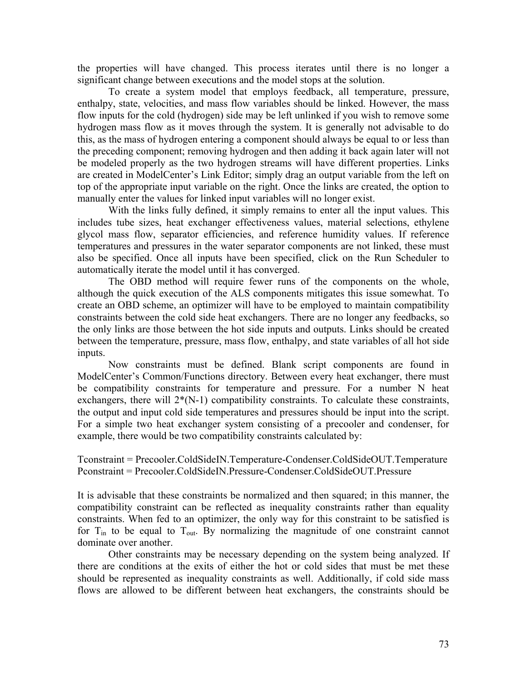the properties will have changed. This process iterates until there is no longer a significant change between executions and the model stops at the solution.

To create a system model that employs feedback, all temperature, pressure, enthalpy, state, velocities, and mass flow variables should be linked. However, the mass flow inputs for the cold (hydrogen) side may be left unlinked if you wish to remove some hydrogen mass flow as it moves through the system. It is generally not advisable to do this, as the mass of hydrogen entering a component should always be equal to or less than the preceding component; removing hydrogen and then adding it back again later will not be modeled properly as the two hydrogen streams will have different properties. Links are created in ModelCenter's Link Editor; simply drag an output variable from the left on top of the appropriate input variable on the right. Once the links are created, the option to manually enter the values for linked input variables will no longer exist.

With the links fully defined, it simply remains to enter all the input values. This includes tube sizes, heat exchanger effectiveness values, material selections, ethylene glycol mass flow, separator efficiencies, and reference humidity values. If reference temperatures and pressures in the water separator components are not linked, these must also be specified. Once all inputs have been specified, click on the Run Scheduler to automatically iterate the model until it has converged.

The OBD method will require fewer runs of the components on the whole, although the quick execution of the ALS components mitigates this issue somewhat. To create an OBD scheme, an optimizer will have to be employed to maintain compatibility constraints between the cold side heat exchangers. There are no longer any feedbacks, so the only links are those between the hot side inputs and outputs. Links should be created between the temperature, pressure, mass flow, enthalpy, and state variables of all hot side inputs.

Now constraints must be defined. Blank script components are found in ModelCenter's Common/Functions directory. Between every heat exchanger, there must be compatibility constraints for temperature and pressure. For a number N heat exchangers, there will  $2*(N-1)$  compatibility constraints. To calculate these constraints, the output and input cold side temperatures and pressures should be input into the script. For a simple two heat exchanger system consisting of a precooler and condenser, for example, there would be two compatibility constraints calculated by:

Tconstraint = Precooler.ColdSideIN.Temperature-Condenser.ColdSideOUT.Temperature Pconstraint = Precooler.ColdSideIN.Pressure-Condenser.ColdSideOUT.Pressure

It is advisable that these constraints be normalized and then squared; in this manner, the compatibility constraint can be reflected as inequality constraints rather than equality constraints. When fed to an optimizer, the only way for this constraint to be satisfied is for  $T_{in}$  to be equal to  $T_{out}$ . By normalizing the magnitude of one constraint cannot dominate over another.

Other constraints may be necessary depending on the system being analyzed. If there are conditions at the exits of either the hot or cold sides that must be met these should be represented as inequality constraints as well. Additionally, if cold side mass flows are allowed to be different between heat exchangers, the constraints should be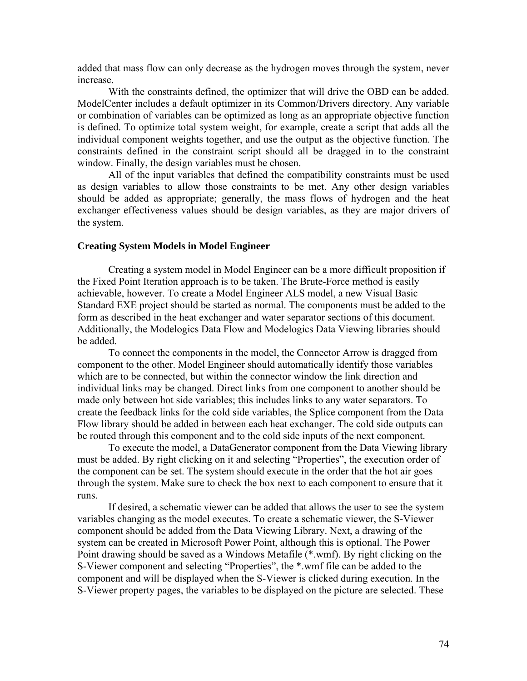added that mass flow can only decrease as the hydrogen moves through the system, never increase.

With the constraints defined, the optimizer that will drive the OBD can be added. ModelCenter includes a default optimizer in its Common/Drivers directory. Any variable or combination of variables can be optimized as long as an appropriate objective function is defined. To optimize total system weight, for example, create a script that adds all the individual component weights together, and use the output as the objective function. The constraints defined in the constraint script should all be dragged in to the constraint window. Finally, the design variables must be chosen.

All of the input variables that defined the compatibility constraints must be used as design variables to allow those constraints to be met. Any other design variables should be added as appropriate; generally, the mass flows of hydrogen and the heat exchanger effectiveness values should be design variables, as they are major drivers of the system.

## **Creating System Models in Model Engineer**

Creating a system model in Model Engineer can be a more difficult proposition if the Fixed Point Iteration approach is to be taken. The Brute-Force method is easily achievable, however. To create a Model Engineer ALS model, a new Visual Basic Standard EXE project should be started as normal. The components must be added to the form as described in the heat exchanger and water separator sections of this document. Additionally, the Modelogics Data Flow and Modelogics Data Viewing libraries should be added.

To connect the components in the model, the Connector Arrow is dragged from component to the other. Model Engineer should automatically identify those variables which are to be connected, but within the connector window the link direction and individual links may be changed. Direct links from one component to another should be made only between hot side variables; this includes links to any water separators. To create the feedback links for the cold side variables, the Splice component from the Data Flow library should be added in between each heat exchanger. The cold side outputs can be routed through this component and to the cold side inputs of the next component.

To execute the model, a DataGenerator component from the Data Viewing library must be added. By right clicking on it and selecting "Properties", the execution order of the component can be set. The system should execute in the order that the hot air goes through the system. Make sure to check the box next to each component to ensure that it runs.

If desired, a schematic viewer can be added that allows the user to see the system variables changing as the model executes. To create a schematic viewer, the S-Viewer component should be added from the Data Viewing Library. Next, a drawing of the system can be created in Microsoft Power Point, although this is optional. The Power Point drawing should be saved as a Windows Metafile (\*.wmf). By right clicking on the S-Viewer component and selecting "Properties", the \*.wmf file can be added to the component and will be displayed when the S-Viewer is clicked during execution. In the S-Viewer property pages, the variables to be displayed on the picture are selected. These